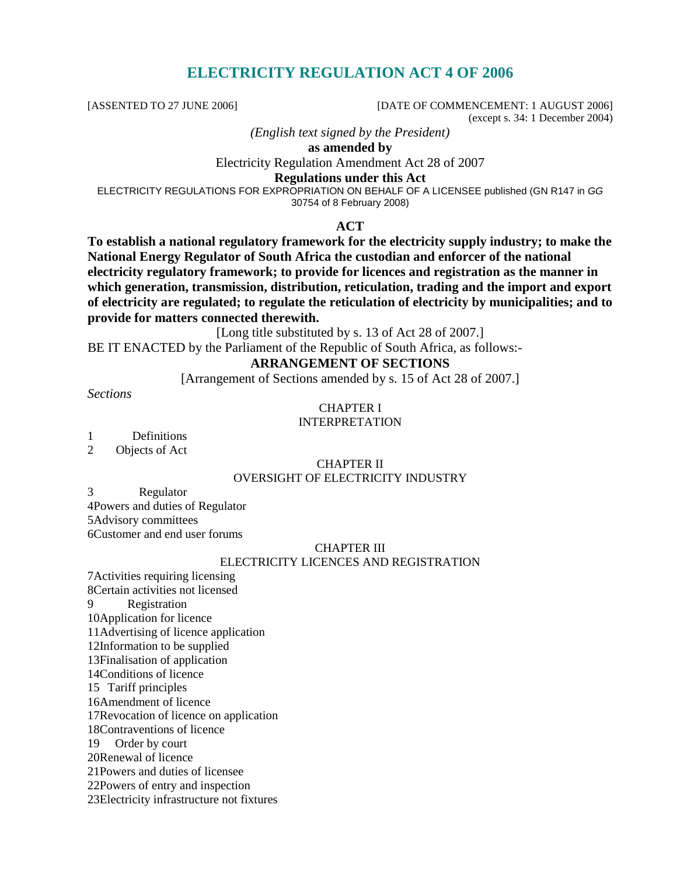# **ELECTRICITY REGULATION ACT 4 OF 2006**

[ASSENTED TO 27 JUNE 2006] [DATE OF COMMENCEMENT: 1 AUGUST 2006] (except s. 34: 1 December 2004)

*(English text signed by the President)* 

**as amended by** 

Electricity Regulation Amendment Act 28 of 2007

**Regulations under this Act** 

ELECTRICITY REGULATIONS FOR EXPROPRIATION ON BEHALF OF A LICENSEE published (GN R147 in GG 30754 of 8 February 2008)

#### **ACT**

**To establish a national regulatory framework for the electricity supply industry; to make the National Energy Regulator of South Africa the custodian and enforcer of the national electricity regulatory framework; to provide for licences and registration as the manner in which generation, transmission, distribution, reticulation, trading and the import and export of electricity are regulated; to regulate the reticulation of electricity by municipalities; and to provide for matters connected therewith.** 

[Long title substituted by s. 13 of Act 28 of 2007.]

BE IT ENACTED by the Parliament of the Republic of South Africa, as follows:-

#### **ARRANGEMENT OF SECTIONS**

[Arrangement of Sections amended by s. 15 of Act 28 of 2007.]

*Sections* 

#### CHAPTER I

#### INTERPRETATION

1 Definitions

2 Objects of Act

#### CHAPTER II OVERSIGHT OF ELECTRICITY INDUSTRY

3 Regulator

4Powers and duties of Regulator 5Advisory committees 6Customer and end user forums

#### CHAPTER III

#### ELECTRICITY LICENCES AND REGISTRATION

7Activities requiring licensing 8Certain activities not licensed 9 Registration 10Application for licence 11Advertising of licence application 12Information to be supplied 13Finalisation of application 14Conditions of licence 15 Tariff principles 16Amendment of licence 17Revocation of licence on application 18Contraventions of licence 19 Order by court 20Renewal of licence 21Powers and duties of licensee 22Powers of entry and inspection 23Electricity infrastructure not fixtures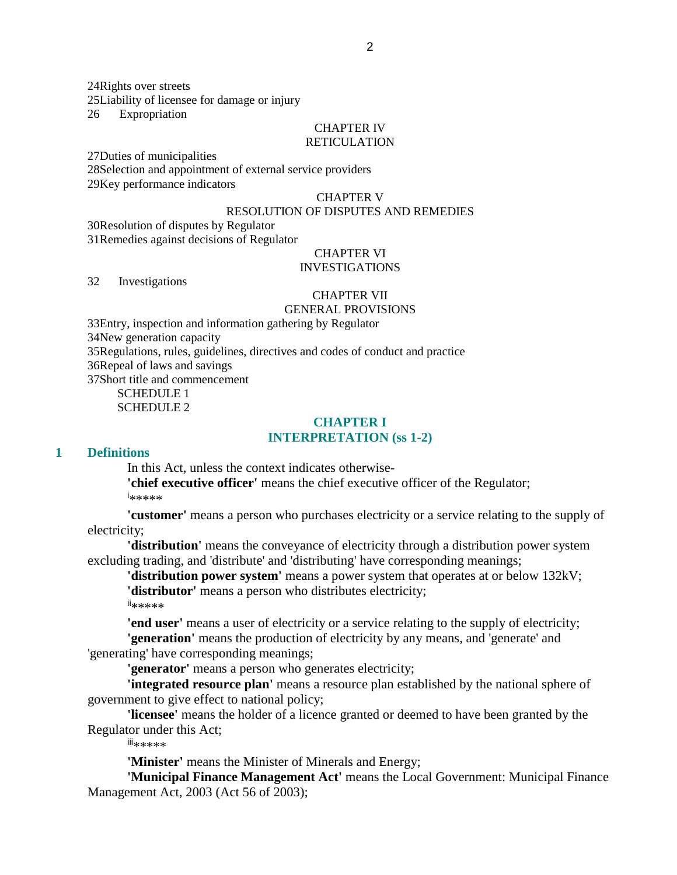24Rights over streets 25Liability of licensee for damage or injury 26 Expropriation

#### CHAPTER IV RETICULATION

27Duties of municipalities 28Selection and appointment of external service providers 29Key performance indicators

#### CHAPTER V

#### RESOLUTION OF DISPUTES AND REMEDIES

30Resolution of disputes by Regulator 31Remedies against decisions of Regulator

# CHAPTER VI

## INVESTIGATIONS

32 Investigations

#### CHAPTER VII

#### GENERAL PROVISIONS

33Entry, inspection and information gathering by Regulator 34New generation capacity 35Regulations, rules, guidelines, directives and codes of conduct and practice 36Repeal of laws and savings 37Short title and commencement

SCHEDULE 1 SCHEDULE 2

#### **CHAPTER I INTERPRETATION (ss 1-2)**

#### **1 Definitions**

In this Act, unless the context indicates otherwise-

**'chief executive officer'** means the chief executive officer of the Regulator; i \*\*\*\*\*

**'customer'** means a person who purchases electricity or a service relating to the supply of electricity;

**'distribution'** means the conveyance of electricity through a distribution power system excluding trading, and 'distribute' and 'distributing' have corresponding meanings;

**'distribution power system'** means a power system that operates at or below 132kV;

**'distributor'** means a person who distributes electricity;

ii\*\*\*\*\*

**'end user'** means a user of electricity or a service relating to the supply of electricity;

**'generation'** means the production of electricity by any means, and 'generate' and 'generating' have corresponding meanings;

**'generator'** means a person who generates electricity;

**'integrated resource plan'** means a resource plan established by the national sphere of government to give effect to national policy;

**'licensee'** means the holder of a licence granted or deemed to have been granted by the Regulator under this Act;

iii\*\*\*\*\*

**'Minister'** means the Minister of Minerals and Energy;

**'Municipal Finance Management Act'** means the Local Government: Municipal Finance Management Act, 2003 (Act 56 of 2003);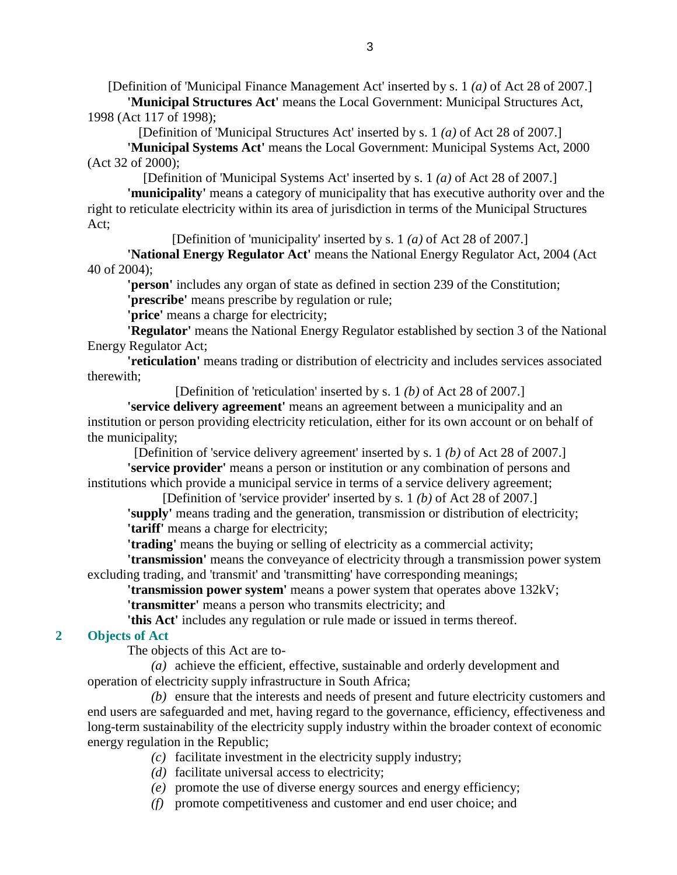[Definition of 'Municipal Finance Management Act' inserted by s. 1 *(a)* of Act 28 of 2007.] **'Municipal Structures Act'** means the Local Government: Municipal Structures Act, 1998 (Act 117 of 1998);

[Definition of 'Municipal Structures Act' inserted by s. 1 *(a)* of Act 28 of 2007.]

**'Municipal Systems Act'** means the Local Government: Municipal Systems Act, 2000 (Act 32 of 2000);

[Definition of 'Municipal Systems Act' inserted by s. 1 *(a)* of Act 28 of 2007.]

**'municipality'** means a category of municipality that has executive authority over and the right to reticulate electricity within its area of jurisdiction in terms of the Municipal Structures Act;

[Definition of 'municipality' inserted by s. 1 *(a)* of Act 28 of 2007.]

**'National Energy Regulator Act'** means the National Energy Regulator Act, 2004 (Act 40 of 2004);

**'person'** includes any organ of state as defined in section 239 of the Constitution;

**'prescribe'** means prescribe by regulation or rule;

**'price'** means a charge for electricity;

**'Regulator'** means the National Energy Regulator established by section 3 of the National Energy Regulator Act;

**'reticulation'** means trading or distribution of electricity and includes services associated therewith;

[Definition of 'reticulation' inserted by s. 1 *(b)* of Act 28 of 2007.]

**'service delivery agreement'** means an agreement between a municipality and an institution or person providing electricity reticulation, either for its own account or on behalf of the municipality;

[Definition of 'service delivery agreement' inserted by s. 1 *(b)* of Act 28 of 2007.]

**'service provider'** means a person or institution or any combination of persons and institutions which provide a municipal service in terms of a service delivery agreement;

[Definition of 'service provider' inserted by s. 1 *(b)* of Act 28 of 2007.] **'supply'** means trading and the generation, transmission or distribution of electricity; **'tariff'** means a charge for electricity;

**'trading'** means the buying or selling of electricity as a commercial activity;

**'transmission'** means the conveyance of electricity through a transmission power system excluding trading, and 'transmit' and 'transmitting' have corresponding meanings;

**'transmission power system'** means a power system that operates above 132kV;

**'transmitter'** means a person who transmits electricity; and

**'this Act'** includes any regulation or rule made or issued in terms thereof.

## **2 Objects of Act**

The objects of this Act are to-

 *(a)* achieve the efficient, effective, sustainable and orderly development and operation of electricity supply infrastructure in South Africa;

 *(b)* ensure that the interests and needs of present and future electricity customers and end users are safeguarded and met, having regard to the governance, efficiency, effectiveness and long-term sustainability of the electricity supply industry within the broader context of economic energy regulation in the Republic;

*(c)* facilitate investment in the electricity supply industry;

*(d)* facilitate universal access to electricity;

*(e)* promote the use of diverse energy sources and energy efficiency;

*(f)* promote competitiveness and customer and end user choice; and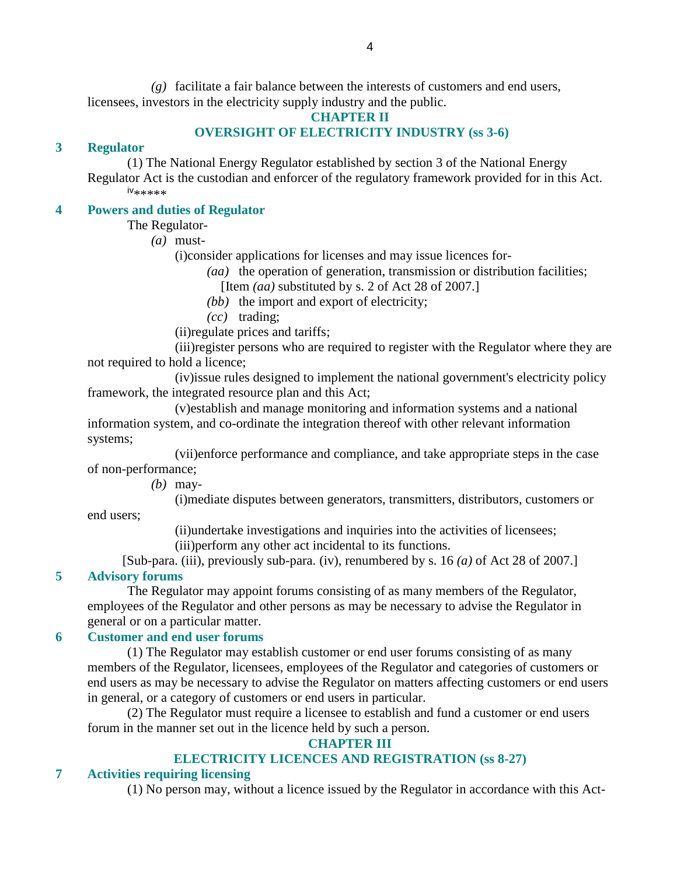*(g)* facilitate a fair balance between the interests of customers and end users, licensees, investors in the electricity supply industry and the public.

#### **CHAPTER II**

#### **OVERSIGHT OF ELECTRICITY INDUSTRY (ss 3-6)**

#### **3 Regulator**

 (1) The National Energy Regulator established by section 3 of the National Energy Regulator Act is the custodian and enforcer of the regulatory framework provided for in this Act. iv\*\*\*\*\*

#### **4 Powers and duties of Regulator**

The Regulator-

*(a)* must-

(i)consider applications for licenses and may issue licences for-

*(aa)* the operation of generation, transmission or distribution facilities;

[Item *(aa)* substituted by s. 2 of Act 28 of 2007.]

*(bb)* the import and export of electricity;

- *(cc)* trading;
- (ii)regulate prices and tariffs;

 (iii)register persons who are required to register with the Regulator where they are not required to hold a licence;

 (iv)issue rules designed to implement the national government's electricity policy framework, the integrated resource plan and this Act;

 (v)establish and manage monitoring and information systems and a national information system, and co-ordinate the integration thereof with other relevant information systems;

 (vii)enforce performance and compliance, and take appropriate steps in the case of non-performance;

*(b)* may-

(i)mediate disputes between generators, transmitters, distributors, customers or

end users;

(ii)undertake investigations and inquiries into the activities of licensees;

(iii)perform any other act incidental to its functions.

[Sub-para. (iii), previously sub-para. (iv), renumbered by s. 16 *(a)* of Act 28 of 2007.] **5 Advisory forums** 

 The Regulator may appoint forums consisting of as many members of the Regulator, employees of the Regulator and other persons as may be necessary to advise the Regulator in general or on a particular matter.

#### **6 Customer and end user forums**

 (1) The Regulator may establish customer or end user forums consisting of as many members of the Regulator, licensees, employees of the Regulator and categories of customers or end users as may be necessary to advise the Regulator on matters affecting customers or end users in general, or a category of customers or end users in particular.

 (2) The Regulator must require a licensee to establish and fund a customer or end users forum in the manner set out in the licence held by such a person.

#### **CHAPTER III**

#### **ELECTRICITY LICENCES AND REGISTRATION (ss 8-27)**

#### **7 Activities requiring licensing**

(1) No person may, without a licence issued by the Regulator in accordance with this Act-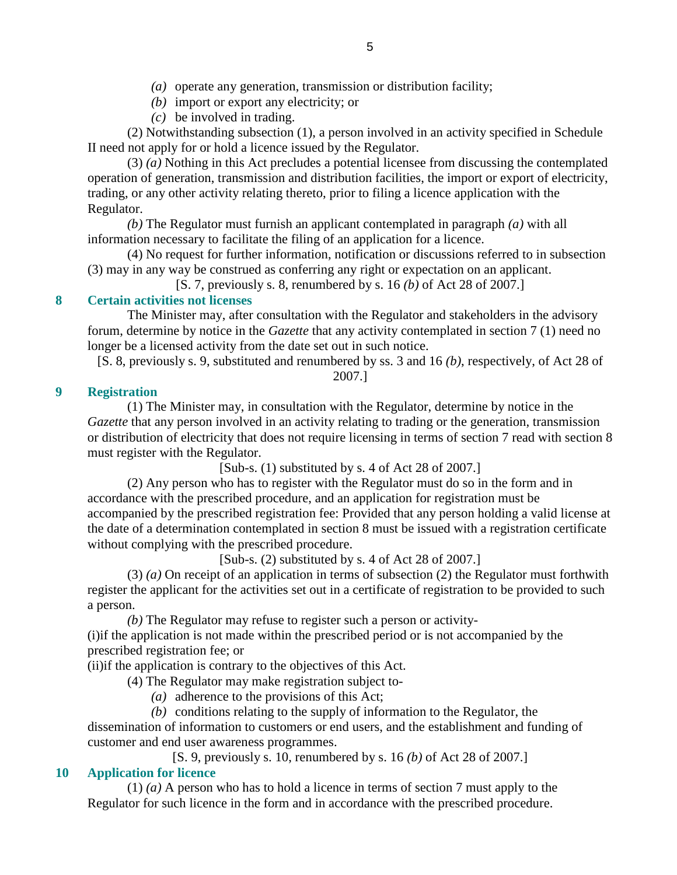- *(a)* operate any generation, transmission or distribution facility;
- *(b)* import or export any electricity; or
- *(c)* be involved in trading.

 (2) Notwithstanding subsection (1), a person involved in an activity specified in Schedule II need not apply for or hold a licence issued by the Regulator.

 (3) *(a)* Nothing in this Act precludes a potential licensee from discussing the contemplated operation of generation, transmission and distribution facilities, the import or export of electricity, trading, or any other activity relating thereto, prior to filing a licence application with the Regulator.

*(b)* The Regulator must furnish an applicant contemplated in paragraph *(a)* with all information necessary to facilitate the filing of an application for a licence.

 (4) No request for further information, notification or discussions referred to in subsection (3) may in any way be construed as conferring any right or expectation on an applicant.

[S. 7, previously s. 8, renumbered by s. 16 *(b)* of Act 28 of 2007.]

# **8 Certain activities not licenses**

 The Minister may, after consultation with the Regulator and stakeholders in the advisory forum, determine by notice in the *Gazette* that any activity contemplated in section 7 (1) need no longer be a licensed activity from the date set out in such notice.

[S. 8, previously s. 9, substituted and renumbered by ss. 3 and 16 *(b)*, respectively, of Act 28 of 2007.]

## **9 Registration**

 (1) The Minister may, in consultation with the Regulator, determine by notice in the *Gazette* that any person involved in an activity relating to trading or the generation, transmission or distribution of electricity that does not require licensing in terms of section 7 read with section 8 must register with the Regulator.

[Sub-s. (1) substituted by s. 4 of Act 28 of 2007.]

 (2) Any person who has to register with the Regulator must do so in the form and in accordance with the prescribed procedure, and an application for registration must be accompanied by the prescribed registration fee: Provided that any person holding a valid license at the date of a determination contemplated in section 8 must be issued with a registration certificate without complying with the prescribed procedure.

[Sub-s. (2) substituted by s. 4 of Act 28 of 2007.]

 (3) *(a)* On receipt of an application in terms of subsection (2) the Regulator must forthwith register the applicant for the activities set out in a certificate of registration to be provided to such a person.

*(b)* The Regulator may refuse to register such a person or activity-

 (i)if the application is not made within the prescribed period or is not accompanied by the prescribed registration fee; or

(ii)if the application is contrary to the objectives of this Act.

(4) The Regulator may make registration subject to-

*(a)* adherence to the provisions of this Act;

 *(b)* conditions relating to the supply of information to the Regulator, the dissemination of information to customers or end users, and the establishment and funding of customer and end user awareness programmes.

[S. 9, previously s. 10, renumbered by s. 16 *(b)* of Act 28 of 2007.]

# **10 Application for licence**

 (1) *(a)* A person who has to hold a licence in terms of section 7 must apply to the Regulator for such licence in the form and in accordance with the prescribed procedure.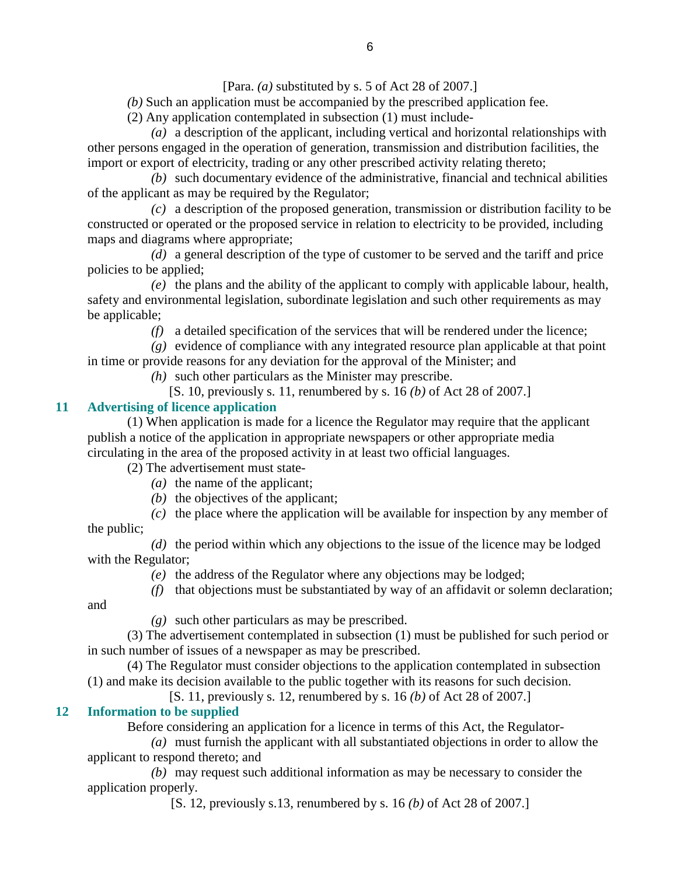[Para. *(a)* substituted by s. 5 of Act 28 of 2007.]

*(b)* Such an application must be accompanied by the prescribed application fee.

(2) Any application contemplated in subsection (1) must include-

 *(a)* a description of the applicant, including vertical and horizontal relationships with other persons engaged in the operation of generation, transmission and distribution facilities, the import or export of electricity, trading or any other prescribed activity relating thereto;

 *(b)* such documentary evidence of the administrative, financial and technical abilities of the applicant as may be required by the Regulator;

 *(c)* a description of the proposed generation, transmission or distribution facility to be constructed or operated or the proposed service in relation to electricity to be provided, including maps and diagrams where appropriate;

 *(d)* a general description of the type of customer to be served and the tariff and price policies to be applied;

 *(e)* the plans and the ability of the applicant to comply with applicable labour, health, safety and environmental legislation, subordinate legislation and such other requirements as may be applicable;

*(f)* a detailed specification of the services that will be rendered under the licence;

 *(g)* evidence of compliance with any integrated resource plan applicable at that point in time or provide reasons for any deviation for the approval of the Minister; and

*(h)* such other particulars as the Minister may prescribe.

[S. 10, previously s. 11, renumbered by s. 16 *(b)* of Act 28 of 2007.]

# **11 Advertising of licence application**

 (1) When application is made for a licence the Regulator may require that the applicant publish a notice of the application in appropriate newspapers or other appropriate media circulating in the area of the proposed activity in at least two official languages.

(2) The advertisement must state-

- *(a)* the name of the applicant;
- *(b)* the objectives of the applicant;

 *(c)* the place where the application will be available for inspection by any member of the public;

 *(d)* the period within which any objections to the issue of the licence may be lodged with the Regulator;

- *(e)* the address of the Regulator where any objections may be lodged;
- *(f)* that objections must be substantiated by way of an affidavit or solemn declaration;

and

*(g)* such other particulars as may be prescribed.

 (3) The advertisement contemplated in subsection (1) must be published for such period or in such number of issues of a newspaper as may be prescribed.

 (4) The Regulator must consider objections to the application contemplated in subsection (1) and make its decision available to the public together with its reasons for such decision.

[S. 11, previously s. 12, renumbered by s. 16 *(b)* of Act 28 of 2007.]

# **12 Information to be supplied**

Before considering an application for a licence in terms of this Act, the Regulator-

 *(a)* must furnish the applicant with all substantiated objections in order to allow the applicant to respond thereto; and

 *(b)* may request such additional information as may be necessary to consider the application properly.

[S. 12, previously s.13, renumbered by s. 16 *(b)* of Act 28 of 2007.]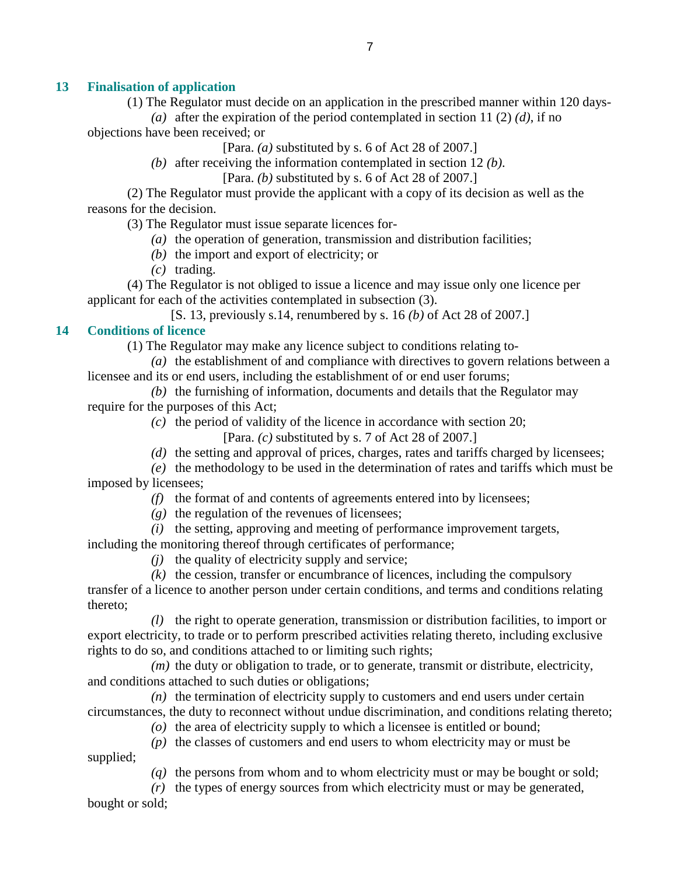## **13 Finalisation of application**

(1) The Regulator must decide on an application in the prescribed manner within 120 days-

(a) after the expiration of the period contemplated in section 11 (2)  $(d)$ , if no objections have been received; or

[Para. *(a)* substituted by s. 6 of Act 28 of 2007.]

*(b)* after receiving the information contemplated in section 12 *(b)*.

[Para. *(b)* substituted by s. 6 of Act 28 of 2007.]

 (2) The Regulator must provide the applicant with a copy of its decision as well as the reasons for the decision.

(3) The Regulator must issue separate licences for-

- *(a)* the operation of generation, transmission and distribution facilities;
- *(b)* the import and export of electricity; or
- *(c)* trading.

 (4) The Regulator is not obliged to issue a licence and may issue only one licence per applicant for each of the activities contemplated in subsection (3).

[S. 13, previously s.14, renumbered by s. 16 *(b)* of Act 28 of 2007.]

#### **14 Conditions of licence**

(1) The Regulator may make any licence subject to conditions relating to-

 *(a)* the establishment of and compliance with directives to govern relations between a licensee and its or end users, including the establishment of or end user forums;

 *(b)* the furnishing of information, documents and details that the Regulator may require for the purposes of this Act;

*(c)* the period of validity of the licence in accordance with section 20;

[Para. *(c)* substituted by s. 7 of Act 28 of 2007.]

*(d)* the setting and approval of prices, charges, rates and tariffs charged by licensees;

 *(e)* the methodology to be used in the determination of rates and tariffs which must be imposed by licensees;

*(f)* the format of and contents of agreements entered into by licensees;

 $(g)$  the regulation of the revenues of licensees;

*(i)* the setting, approving and meeting of performance improvement targets,

including the monitoring thereof through certificates of performance;

*(j)* the quality of electricity supply and service;

*(k)* the cession, transfer or encumbrance of licences, including the compulsory

transfer of a licence to another person under certain conditions, and terms and conditions relating thereto;

 *(l)* the right to operate generation, transmission or distribution facilities, to import or export electricity, to trade or to perform prescribed activities relating thereto, including exclusive rights to do so, and conditions attached to or limiting such rights;

 *(m)* the duty or obligation to trade, or to generate, transmit or distribute, electricity, and conditions attached to such duties or obligations;

 *(n)* the termination of electricity supply to customers and end users under certain circumstances, the duty to reconnect without undue discrimination, and conditions relating thereto;

*(o)* the area of electricity supply to which a licensee is entitled or bound;

 *(p)* the classes of customers and end users to whom electricity may or must be supplied;

*(q)* the persons from whom and to whom electricity must or may be bought or sold;

*(r)* the types of energy sources from which electricity must or may be generated,

bought or sold;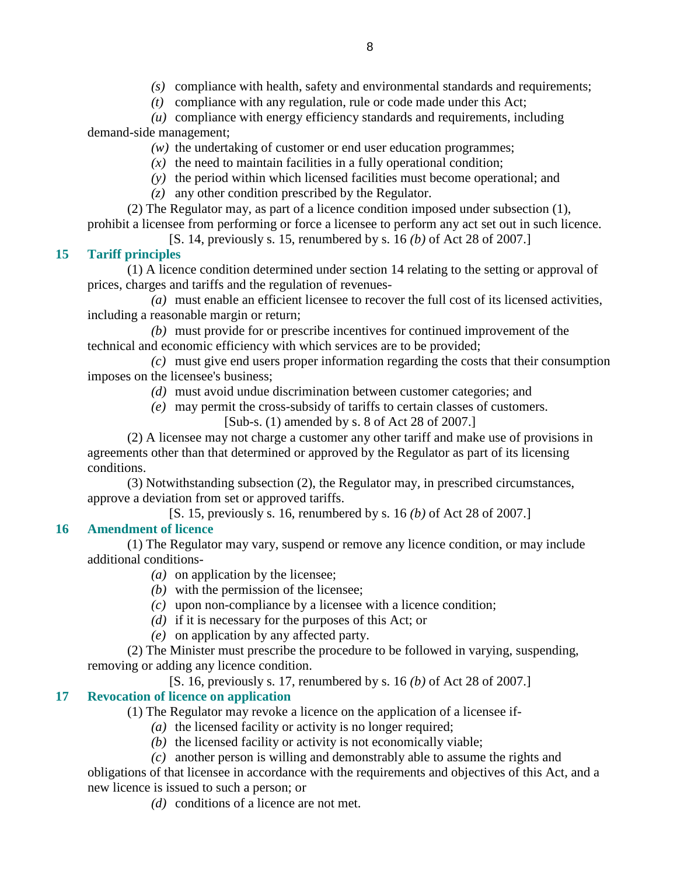*(s)* compliance with health, safety and environmental standards and requirements;

*(t)* compliance with any regulation, rule or code made under this Act;

 *(u)* compliance with energy efficiency standards and requirements, including demand-side management;

- *(w)* the undertaking of customer or end user education programmes;
- $(x)$  the need to maintain facilities in a fully operational condition;
- *(y)* the period within which licensed facilities must become operational; and
- *(z)* any other condition prescribed by the Regulator.

 (2) The Regulator may, as part of a licence condition imposed under subsection (1), prohibit a licensee from performing or force a licensee to perform any act set out in such licence.

[S. 14, previously s. 15, renumbered by s. 16 *(b)* of Act 28 of 2007.]

# **15 Tariff principles**

 (1) A licence condition determined under section 14 relating to the setting or approval of prices, charges and tariffs and the regulation of revenues-

 *(a)* must enable an efficient licensee to recover the full cost of its licensed activities, including a reasonable margin or return;

 *(b)* must provide for or prescribe incentives for continued improvement of the technical and economic efficiency with which services are to be provided;

 *(c)* must give end users proper information regarding the costs that their consumption imposes on the licensee's business;

- *(d)* must avoid undue discrimination between customer categories; and
- *(e)* may permit the cross-subsidy of tariffs to certain classes of customers. [Sub-s. (1) amended by s. 8 of Act 28 of 2007.]

 (2) A licensee may not charge a customer any other tariff and make use of provisions in agreements other than that determined or approved by the Regulator as part of its licensing conditions.

 (3) Notwithstanding subsection (2), the Regulator may, in prescribed circumstances, approve a deviation from set or approved tariffs.

[S. 15, previously s. 16, renumbered by s. 16 *(b)* of Act 28 of 2007.]

# **16 Amendment of licence**

 (1) The Regulator may vary, suspend or remove any licence condition, or may include additional conditions-

- *(a)* on application by the licensee;
- *(b)* with the permission of the licensee;
- *(c)* upon non-compliance by a licensee with a licence condition;
- *(d)* if it is necessary for the purposes of this Act; or
- *(e)* on application by any affected party.

 (2) The Minister must prescribe the procedure to be followed in varying, suspending, removing or adding any licence condition.

[S. 16, previously s. 17, renumbered by s. 16 *(b)* of Act 28 of 2007.]

# **17 Revocation of licence on application**

(1) The Regulator may revoke a licence on the application of a licensee if-

- *(a)* the licensed facility or activity is no longer required;
- *(b)* the licensed facility or activity is not economically viable;
- *(c)* another person is willing and demonstrably able to assume the rights and

obligations of that licensee in accordance with the requirements and objectives of this Act, and a new licence is issued to such a person; or

*(d)* conditions of a licence are not met.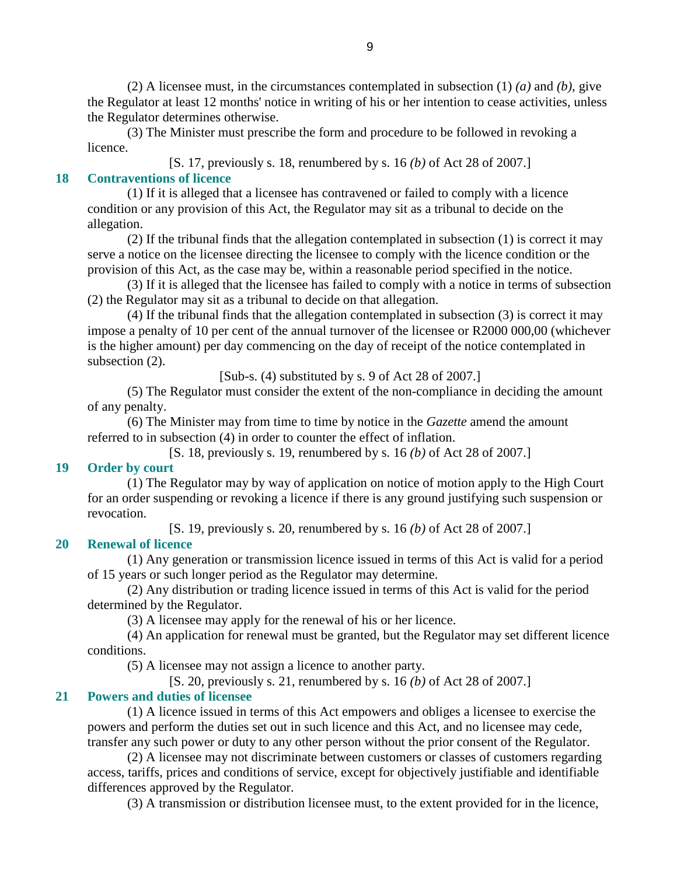(2) A licensee must, in the circumstances contemplated in subsection (1) *(a)* and *(b)*, give the Regulator at least 12 months' notice in writing of his or her intention to cease activities, unless the Regulator determines otherwise.

 (3) The Minister must prescribe the form and procedure to be followed in revoking a licence.

[S. 17, previously s. 18, renumbered by s. 16 *(b)* of Act 28 of 2007.] **18 Contraventions of licence** 

 (1) If it is alleged that a licensee has contravened or failed to comply with a licence condition or any provision of this Act, the Regulator may sit as a tribunal to decide on the allegation.

 (2) If the tribunal finds that the allegation contemplated in subsection (1) is correct it may serve a notice on the licensee directing the licensee to comply with the licence condition or the provision of this Act, as the case may be, within a reasonable period specified in the notice.

 (3) If it is alleged that the licensee has failed to comply with a notice in terms of subsection (2) the Regulator may sit as a tribunal to decide on that allegation.

 (4) If the tribunal finds that the allegation contemplated in subsection (3) is correct it may impose a penalty of 10 per cent of the annual turnover of the licensee or R2000 000,00 (whichever is the higher amount) per day commencing on the day of receipt of the notice contemplated in subsection  $(2)$ .

[Sub-s. (4) substituted by s. 9 of Act 28 of 2007.]

 (5) The Regulator must consider the extent of the non-compliance in deciding the amount of any penalty.

 (6) The Minister may from time to time by notice in the *Gazette* amend the amount referred to in subsection (4) in order to counter the effect of inflation.

[S. 18, previously s. 19, renumbered by s. 16 *(b)* of Act 28 of 2007.]

## **19 Order by court**

 (1) The Regulator may by way of application on notice of motion apply to the High Court for an order suspending or revoking a licence if there is any ground justifying such suspension or revocation.

[S. 19, previously s. 20, renumbered by s. 16 *(b)* of Act 28 of 2007.]

# **20 Renewal of licence**

 (1) Any generation or transmission licence issued in terms of this Act is valid for a period of 15 years or such longer period as the Regulator may determine.

 (2) Any distribution or trading licence issued in terms of this Act is valid for the period determined by the Regulator.

(3) A licensee may apply for the renewal of his or her licence.

 (4) An application for renewal must be granted, but the Regulator may set different licence conditions.

(5) A licensee may not assign a licence to another party.

[S. 20, previously s. 21, renumbered by s. 16 *(b)* of Act 28 of 2007.]

# **21 Powers and duties of licensee**

 (1) A licence issued in terms of this Act empowers and obliges a licensee to exercise the powers and perform the duties set out in such licence and this Act, and no licensee may cede, transfer any such power or duty to any other person without the prior consent of the Regulator.

 (2) A licensee may not discriminate between customers or classes of customers regarding access, tariffs, prices and conditions of service, except for objectively justifiable and identifiable differences approved by the Regulator.

(3) A transmission or distribution licensee must, to the extent provided for in the licence,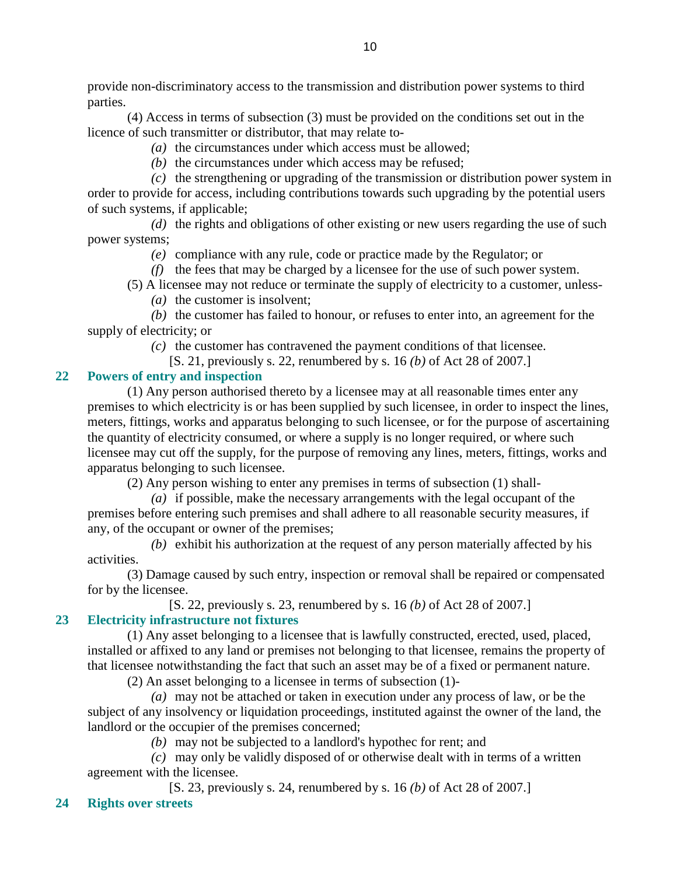provide non-discriminatory access to the transmission and distribution power systems to third parties.

 (4) Access in terms of subsection (3) must be provided on the conditions set out in the licence of such transmitter or distributor, that may relate to-

- *(a)* the circumstances under which access must be allowed;
- *(b)* the circumstances under which access may be refused;

 *(c)* the strengthening or upgrading of the transmission or distribution power system in order to provide for access, including contributions towards such upgrading by the potential users of such systems, if applicable;

 *(d)* the rights and obligations of other existing or new users regarding the use of such power systems;

- *(e)* compliance with any rule, code or practice made by the Regulator; or
- *(f)* the fees that may be charged by a licensee for the use of such power system.
- (5) A licensee may not reduce or terminate the supply of electricity to a customer, unless-
	- *(a)* the customer is insolvent;

 *(b)* the customer has failed to honour, or refuses to enter into, an agreement for the supply of electricity; or

*(c)* the customer has contravened the payment conditions of that licensee.

[S. 21, previously s. 22, renumbered by s. 16 *(b)* of Act 28 of 2007.]

## **22 Powers of entry and inspection**

 (1) Any person authorised thereto by a licensee may at all reasonable times enter any premises to which electricity is or has been supplied by such licensee, in order to inspect the lines, meters, fittings, works and apparatus belonging to such licensee, or for the purpose of ascertaining the quantity of electricity consumed, or where a supply is no longer required, or where such licensee may cut off the supply, for the purpose of removing any lines, meters, fittings, works and apparatus belonging to such licensee.

(2) Any person wishing to enter any premises in terms of subsection (1) shall-

 *(a)* if possible, make the necessary arrangements with the legal occupant of the premises before entering such premises and shall adhere to all reasonable security measures, if any, of the occupant or owner of the premises;

 *(b)* exhibit his authorization at the request of any person materially affected by his activities.

 (3) Damage caused by such entry, inspection or removal shall be repaired or compensated for by the licensee.

[S. 22, previously s. 23, renumbered by s. 16 *(b)* of Act 28 of 2007.]

# **23 Electricity infrastructure not fixtures**

 (1) Any asset belonging to a licensee that is lawfully constructed, erected, used, placed, installed or affixed to any land or premises not belonging to that licensee, remains the property of that licensee notwithstanding the fact that such an asset may be of a fixed or permanent nature.

(2) An asset belonging to a licensee in terms of subsection (1)-

 *(a)* may not be attached or taken in execution under any process of law, or be the subject of any insolvency or liquidation proceedings, instituted against the owner of the land, the landlord or the occupier of the premises concerned;

*(b)* may not be subjected to a landlord's hypothec for rent; and

 *(c)* may only be validly disposed of or otherwise dealt with in terms of a written agreement with the licensee.

[S. 23, previously s. 24, renumbered by s. 16 *(b)* of Act 28 of 2007.]

## **24 Rights over streets**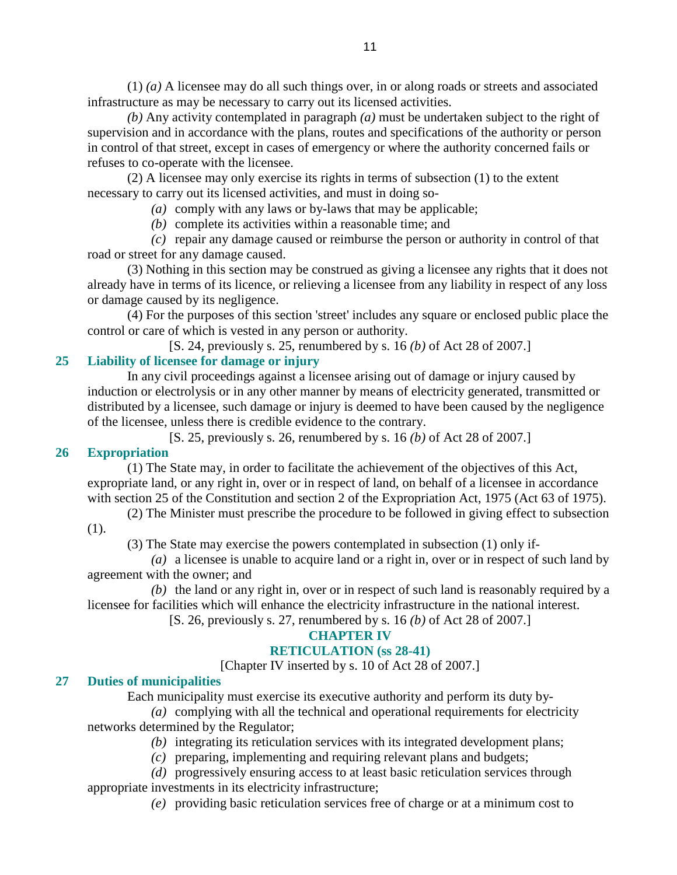(1) *(a)* A licensee may do all such things over, in or along roads or streets and associated infrastructure as may be necessary to carry out its licensed activities.

*(b)* Any activity contemplated in paragraph *(a)* must be undertaken subject to the right of supervision and in accordance with the plans, routes and specifications of the authority or person in control of that street, except in cases of emergency or where the authority concerned fails or refuses to co-operate with the licensee.

 (2) A licensee may only exercise its rights in terms of subsection (1) to the extent necessary to carry out its licensed activities, and must in doing so-

*(a)* comply with any laws or by-laws that may be applicable;

*(b)* complete its activities within a reasonable time; and

 *(c)* repair any damage caused or reimburse the person or authority in control of that road or street for any damage caused.

 (3) Nothing in this section may be construed as giving a licensee any rights that it does not already have in terms of its licence, or relieving a licensee from any liability in respect of any loss or damage caused by its negligence.

 (4) For the purposes of this section 'street' includes any square or enclosed public place the control or care of which is vested in any person or authority.

[S. 24, previously s. 25, renumbered by s. 16 *(b)* of Act 28 of 2007.]

# **25 Liability of licensee for damage or injury**

 In any civil proceedings against a licensee arising out of damage or injury caused by induction or electrolysis or in any other manner by means of electricity generated, transmitted or distributed by a licensee, such damage or injury is deemed to have been caused by the negligence of the licensee, unless there is credible evidence to the contrary.

[S. 25, previously s. 26, renumbered by s. 16 *(b)* of Act 28 of 2007.]

## **26 Expropriation**

 (1) The State may, in order to facilitate the achievement of the objectives of this Act, expropriate land, or any right in, over or in respect of land, on behalf of a licensee in accordance with section 25 of the Constitution and section 2 of the Expropriation Act, 1975 (Act 63 of 1975).

 (2) The Minister must prescribe the procedure to be followed in giving effect to subsection (1).

(3) The State may exercise the powers contemplated in subsection (1) only if-

 *(a)* a licensee is unable to acquire land or a right in, over or in respect of such land by agreement with the owner; and

 *(b)* the land or any right in, over or in respect of such land is reasonably required by a licensee for facilities which will enhance the electricity infrastructure in the national interest.

[S. 26, previously s. 27, renumbered by s. 16 *(b)* of Act 28 of 2007.]

## **CHAPTER IV**

## **RETICULATION (ss 28-41)**

[Chapter IV inserted by s. 10 of Act 28 of 2007.]

## **27 Duties of municipalities**

Each municipality must exercise its executive authority and perform its duty by-

 *(a)* complying with all the technical and operational requirements for electricity networks determined by the Regulator;

*(b)* integrating its reticulation services with its integrated development plans;

*(c)* preparing, implementing and requiring relevant plans and budgets;

 *(d)* progressively ensuring access to at least basic reticulation services through appropriate investments in its electricity infrastructure;

*(e)* providing basic reticulation services free of charge or at a minimum cost to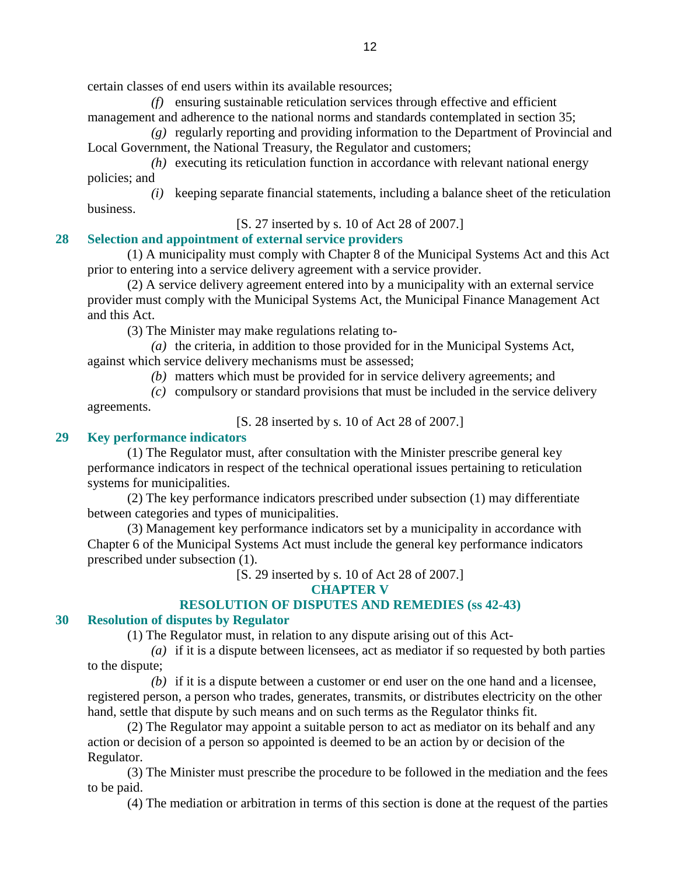certain classes of end users within its available resources;

 *(f)* ensuring sustainable reticulation services through effective and efficient management and adherence to the national norms and standards contemplated in section 35;

 *(g)* regularly reporting and providing information to the Department of Provincial and Local Government, the National Treasury, the Regulator and customers;

 *(h)* executing its reticulation function in accordance with relevant national energy policies; and

 *(i)* keeping separate financial statements, including a balance sheet of the reticulation business.

[S. 27 inserted by s. 10 of Act 28 of 2007.]

## **28 Selection and appointment of external service providers**

 (1) A municipality must comply with Chapter 8 of the Municipal Systems Act and this Act prior to entering into a service delivery agreement with a service provider.

 (2) A service delivery agreement entered into by a municipality with an external service provider must comply with the Municipal Systems Act, the Municipal Finance Management Act and this Act.

(3) The Minister may make regulations relating to-

 *(a)* the criteria, in addition to those provided for in the Municipal Systems Act, against which service delivery mechanisms must be assessed;

*(b)* matters which must be provided for in service delivery agreements; and

 *(c)* compulsory or standard provisions that must be included in the service delivery agreements.

[S. 28 inserted by s. 10 of Act 28 of 2007.]

## **29 Key performance indicators**

 (1) The Regulator must, after consultation with the Minister prescribe general key performance indicators in respect of the technical operational issues pertaining to reticulation systems for municipalities.

 (2) The key performance indicators prescribed under subsection (1) may differentiate between categories and types of municipalities.

 (3) Management key performance indicators set by a municipality in accordance with Chapter 6 of the Municipal Systems Act must include the general key performance indicators prescribed under subsection (1).

[S. 29 inserted by s. 10 of Act 28 of 2007.]

**CHAPTER V** 

## **RESOLUTION OF DISPUTES AND REMEDIES (ss 42-43)**

## **30 Resolution of disputes by Regulator**

(1) The Regulator must, in relation to any dispute arising out of this Act-

 *(a)* if it is a dispute between licensees, act as mediator if so requested by both parties to the dispute;

 *(b)* if it is a dispute between a customer or end user on the one hand and a licensee, registered person, a person who trades, generates, transmits, or distributes electricity on the other hand, settle that dispute by such means and on such terms as the Regulator thinks fit.

 (2) The Regulator may appoint a suitable person to act as mediator on its behalf and any action or decision of a person so appointed is deemed to be an action by or decision of the Regulator.

 (3) The Minister must prescribe the procedure to be followed in the mediation and the fees to be paid.

(4) The mediation or arbitration in terms of this section is done at the request of the parties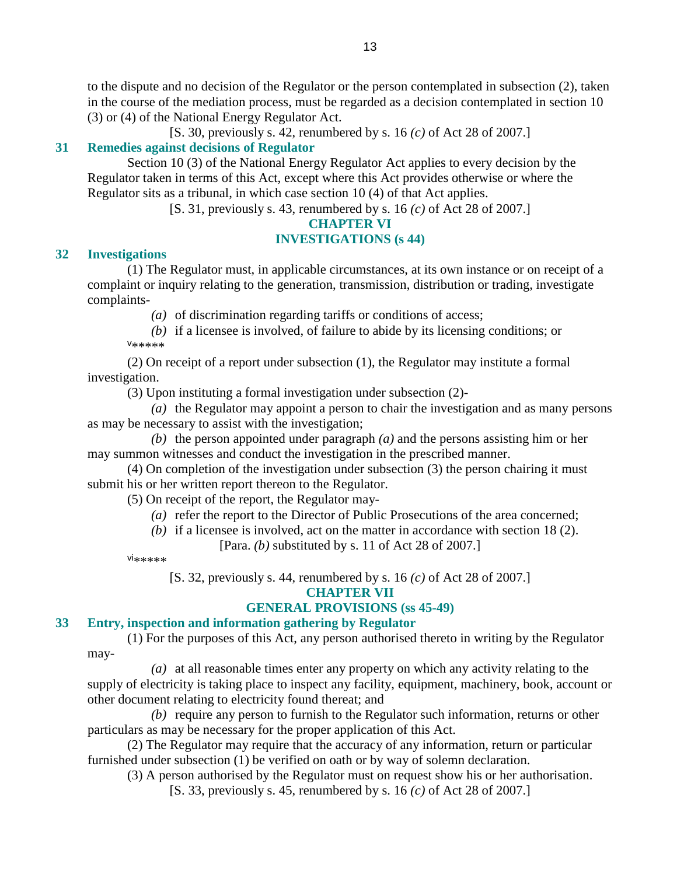to the dispute and no decision of the Regulator or the person contemplated in subsection (2), taken in the course of the mediation process, must be regarded as a decision contemplated in section 10 (3) or (4) of the National Energy Regulator Act.

[S. 30, previously s. 42, renumbered by s. 16 *(c)* of Act 28 of 2007.]

## **31 Remedies against decisions of Regulator**

 Section 10 (3) of the National Energy Regulator Act applies to every decision by the Regulator taken in terms of this Act, except where this Act provides otherwise or where the Regulator sits as a tribunal, in which case section 10 (4) of that Act applies.

[S. 31, previously s. 43, renumbered by s. 16 *(c)* of Act 28 of 2007.]

#### **CHAPTER VI**

#### **INVESTIGATIONS (s 44)**

#### **32 Investigations**

 (1) The Regulator must, in applicable circumstances, at its own instance or on receipt of a complaint or inquiry relating to the generation, transmission, distribution or trading, investigate complaints-

*(a)* of discrimination regarding tariffs or conditions of access;

 *(b)* if a licensee is involved, of failure to abide by its licensing conditions; or v \*\*\*\*\*

 (2) On receipt of a report under subsection (1), the Regulator may institute a formal investigation.

(3) Upon instituting a formal investigation under subsection (2)-

 *(a)* the Regulator may appoint a person to chair the investigation and as many persons as may be necessary to assist with the investigation;

 *(b)* the person appointed under paragraph *(a)* and the persons assisting him or her may summon witnesses and conduct the investigation in the prescribed manner.

 (4) On completion of the investigation under subsection (3) the person chairing it must submit his or her written report thereon to the Regulator.

(5) On receipt of the report, the Regulator may-

*(a)* refer the report to the Director of Public Prosecutions of the area concerned;

*(b)* if a licensee is involved, act on the matter in accordance with section 18 (2).

[Para. *(b)* substituted by s. 11 of Act 28 of 2007.]

vi\*\*\*\*\*

[S. 32, previously s. 44, renumbered by s. 16 *(c)* of Act 28 of 2007.]

#### **CHAPTER VII**

## **GENERAL PROVISIONS (ss 45-49)**

## **33 Entry, inspection and information gathering by Regulator**

 (1) For the purposes of this Act, any person authorised thereto in writing by the Regulator may-

 *(a)* at all reasonable times enter any property on which any activity relating to the supply of electricity is taking place to inspect any facility, equipment, machinery, book, account or other document relating to electricity found thereat; and

 *(b)* require any person to furnish to the Regulator such information, returns or other particulars as may be necessary for the proper application of this Act.

 (2) The Regulator may require that the accuracy of any information, return or particular furnished under subsection (1) be verified on oath or by way of solemn declaration.

(3) A person authorised by the Regulator must on request show his or her authorisation.

[S. 33, previously s. 45, renumbered by s. 16 *(c)* of Act 28 of 2007.]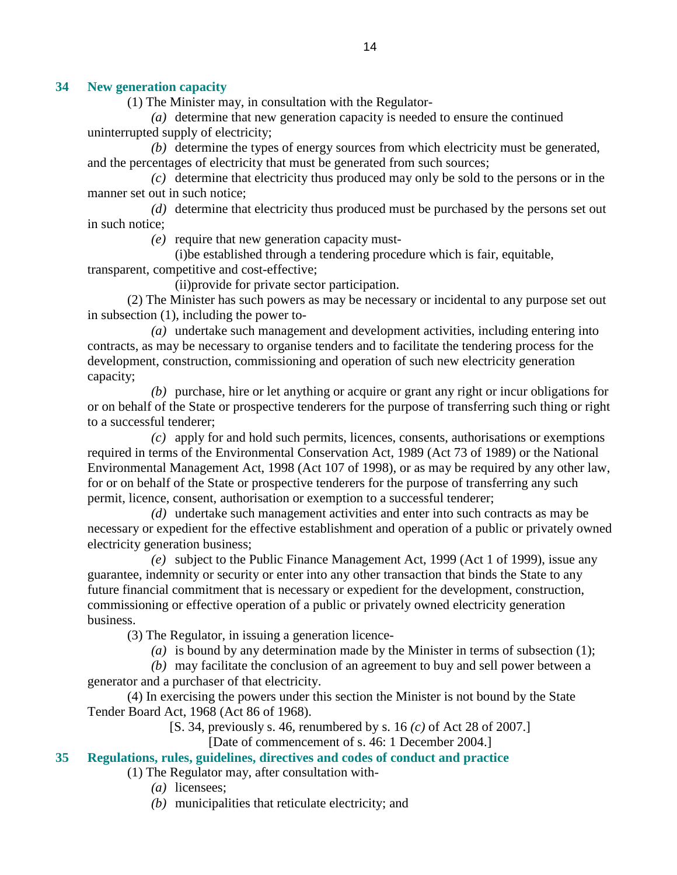## **34 New generation capacity**

(1) The Minister may, in consultation with the Regulator-

 *(a)* determine that new generation capacity is needed to ensure the continued uninterrupted supply of electricity;

 *(b)* determine the types of energy sources from which electricity must be generated, and the percentages of electricity that must be generated from such sources;

 *(c)* determine that electricity thus produced may only be sold to the persons or in the manner set out in such notice;

 *(d)* determine that electricity thus produced must be purchased by the persons set out in such notice;

*(e)* require that new generation capacity must-

 (i)be established through a tendering procedure which is fair, equitable, transparent, competitive and cost-effective;

(ii)provide for private sector participation.

 (2) The Minister has such powers as may be necessary or incidental to any purpose set out in subsection (1), including the power to-

 *(a)* undertake such management and development activities, including entering into contracts, as may be necessary to organise tenders and to facilitate the tendering process for the development, construction, commissioning and operation of such new electricity generation capacity;

 *(b)* purchase, hire or let anything or acquire or grant any right or incur obligations for or on behalf of the State or prospective tenderers for the purpose of transferring such thing or right to a successful tenderer;

 *(c)* apply for and hold such permits, licences, consents, authorisations or exemptions required in terms of the Environmental Conservation Act, 1989 (Act 73 of 1989) or the National Environmental Management Act, 1998 (Act 107 of 1998), or as may be required by any other law, for or on behalf of the State or prospective tenderers for the purpose of transferring any such permit, licence, consent, authorisation or exemption to a successful tenderer;

 *(d)* undertake such management activities and enter into such contracts as may be necessary or expedient for the effective establishment and operation of a public or privately owned electricity generation business;

 *(e)* subject to the Public Finance Management Act, 1999 (Act 1 of 1999), issue any guarantee, indemnity or security or enter into any other transaction that binds the State to any future financial commitment that is necessary or expedient for the development, construction, commissioning or effective operation of a public or privately owned electricity generation business.

(3) The Regulator, in issuing a generation licence-

*(a)* is bound by any determination made by the Minister in terms of subsection (1);

 *(b)* may facilitate the conclusion of an agreement to buy and sell power between a generator and a purchaser of that electricity.

 (4) In exercising the powers under this section the Minister is not bound by the State Tender Board Act, 1968 (Act 86 of 1968).

[S. 34, previously s. 46, renumbered by s. 16 *(c)* of Act 28 of 2007.]

[Date of commencement of s. 46: 1 December 2004.]

## **35 Regulations, rules, guidelines, directives and codes of conduct and practice**

(1) The Regulator may, after consultation with-

- *(a)* licensees;
- *(b)* municipalities that reticulate electricity; and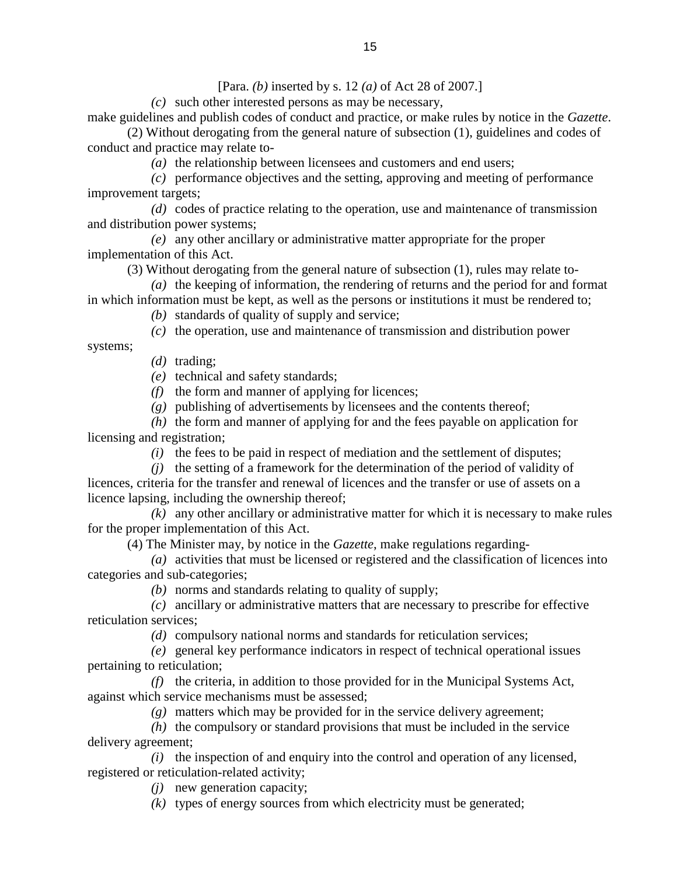[Para. *(b)* inserted by s. 12 *(a)* of Act 28 of 2007.]

*(c)* such other interested persons as may be necessary,

make guidelines and publish codes of conduct and practice, or make rules by notice in the *Gazette*. (2) Without derogating from the general nature of subsection (1), guidelines and codes of conduct and practice may relate to-

*(a)* the relationship between licensees and customers and end users;

 *(c)* performance objectives and the setting, approving and meeting of performance improvement targets;

 *(d)* codes of practice relating to the operation, use and maintenance of transmission and distribution power systems;

 *(e)* any other ancillary or administrative matter appropriate for the proper implementation of this Act.

(3) Without derogating from the general nature of subsection (1), rules may relate to-

 *(a)* the keeping of information, the rendering of returns and the period for and format in which information must be kept, as well as the persons or institutions it must be rendered to;

*(b)* standards of quality of supply and service;

*(c)* the operation, use and maintenance of transmission and distribution power

systems;

*(d)* trading;

*(e)* technical and safety standards;

*(f)* the form and manner of applying for licences;

*(g)* publishing of advertisements by licensees and the contents thereof;

 *(h)* the form and manner of applying for and the fees payable on application for licensing and registration;

*(i)* the fees to be paid in respect of mediation and the settlement of disputes;

*(j)* the setting of a framework for the determination of the period of validity of

licences, criteria for the transfer and renewal of licences and the transfer or use of assets on a licence lapsing, including the ownership thereof;

 *(k)* any other ancillary or administrative matter for which it is necessary to make rules for the proper implementation of this Act.

(4) The Minister may, by notice in the *Gazette*, make regulations regarding-

 *(a)* activities that must be licensed or registered and the classification of licences into categories and sub-categories;

*(b)* norms and standards relating to quality of supply;

 *(c)* ancillary or administrative matters that are necessary to prescribe for effective reticulation services;

*(d)* compulsory national norms and standards for reticulation services;

 *(e)* general key performance indicators in respect of technical operational issues pertaining to reticulation;

 *(f)* the criteria, in addition to those provided for in the Municipal Systems Act, against which service mechanisms must be assessed;

*(g)* matters which may be provided for in the service delivery agreement;

 *(h)* the compulsory or standard provisions that must be included in the service delivery agreement;

 *(i)* the inspection of and enquiry into the control and operation of any licensed, registered or reticulation-related activity;

*(j)* new generation capacity;

*(k)* types of energy sources from which electricity must be generated;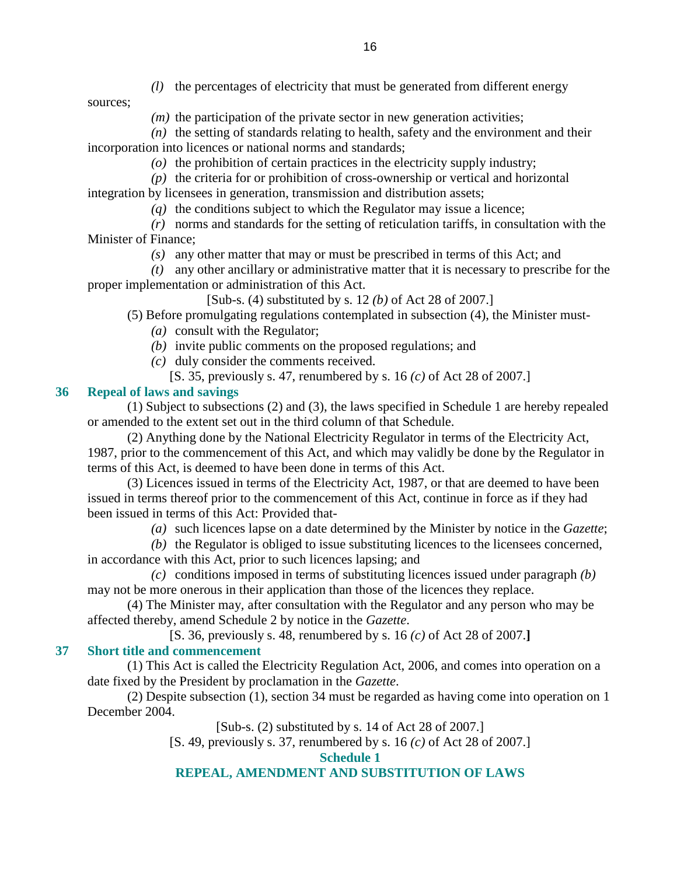*(l)* the percentages of electricity that must be generated from different energy

sources;

*(m)* the participation of the private sector in new generation activities;

 $(n)$  the setting of standards relating to health, safety and the environment and their incorporation into licences or national norms and standards;

- *(o)* the prohibition of certain practices in the electricity supply industry;
- *(p)* the criteria for or prohibition of cross-ownership or vertical and horizontal
- integration by licensees in generation, transmission and distribution assets;
	- *(q)* the conditions subject to which the Regulator may issue a licence;

 *(r)* norms and standards for the setting of reticulation tariffs, in consultation with the Minister of Finance;

*(s)* any other matter that may or must be prescribed in terms of this Act; and

 *(t)* any other ancillary or administrative matter that it is necessary to prescribe for the proper implementation or administration of this Act.

[Sub-s. (4) substituted by s. 12 *(b)* of Act 28 of 2007.]

(5) Before promulgating regulations contemplated in subsection (4), the Minister must-

- *(a)* consult with the Regulator;
- *(b)* invite public comments on the proposed regulations; and
- *(c)* duly consider the comments received.
	- [S. 35, previously s. 47, renumbered by s. 16 *(c)* of Act 28 of 2007.]

## **36 Repeal of laws and savings**

 (1) Subject to subsections (2) and (3), the laws specified in Schedule 1 are hereby repealed or amended to the extent set out in the third column of that Schedule.

 (2) Anything done by the National Electricity Regulator in terms of the Electricity Act, 1987, prior to the commencement of this Act, and which may validly be done by the Regulator in terms of this Act, is deemed to have been done in terms of this Act.

 (3) Licences issued in terms of the Electricity Act, 1987, or that are deemed to have been issued in terms thereof prior to the commencement of this Act, continue in force as if they had been issued in terms of this Act: Provided that-

*(a)* such licences lapse on a date determined by the Minister by notice in the *Gazette*;

 *(b)* the Regulator is obliged to issue substituting licences to the licensees concerned, in accordance with this Act, prior to such licences lapsing; and

 *(c)* conditions imposed in terms of substituting licences issued under paragraph *(b)* may not be more onerous in their application than those of the licences they replace.

 (4) The Minister may, after consultation with the Regulator and any person who may be affected thereby, amend Schedule 2 by notice in the *Gazette*.

[S. 36, previously s. 48, renumbered by s. 16 *(c)* of Act 28 of 2007.**]** 

# **37 Short title and commencement**

 (1) This Act is called the Electricity Regulation Act, 2006, and comes into operation on a date fixed by the President by proclamation in the *Gazette*.

 (2) Despite subsection (1), section 34 must be regarded as having come into operation on 1 December 2004.

[Sub-s. (2) substituted by s. 14 of Act 28 of 2007.]

[S. 49, previously s. 37, renumbered by s. 16 *(c)* of Act 28 of 2007.]

**Schedule 1** 

# **REPEAL, AMENDMENT AND SUBSTITUTION OF LAWS**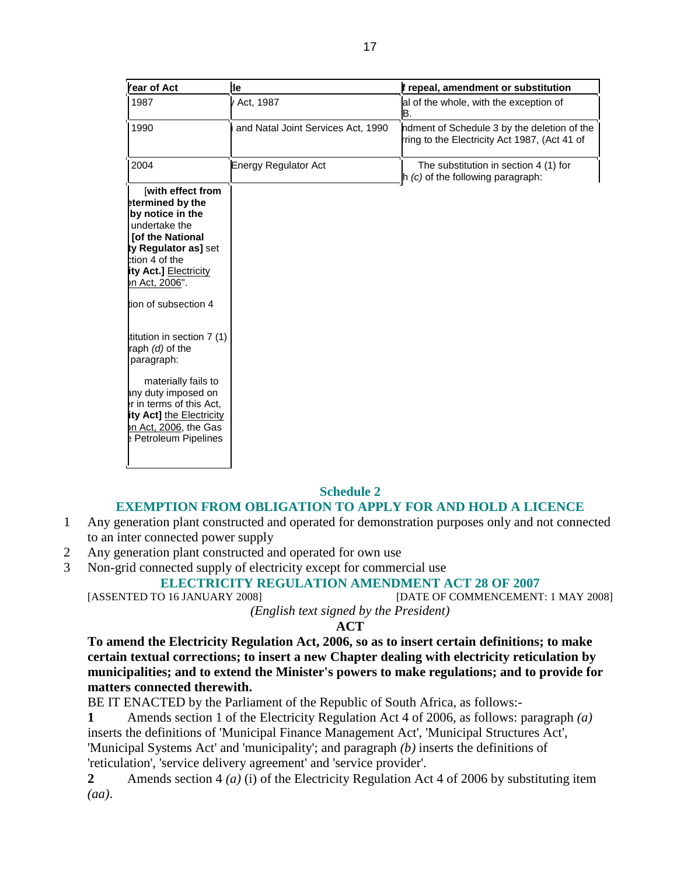| Year of Act                                          | :le                                | f repeal, amendment or substitution                                                          |
|------------------------------------------------------|------------------------------------|----------------------------------------------------------------------------------------------|
| 1987                                                 | / Act, 1987                        | al of the whole, with the exception of<br>B.                                                 |
| 1990                                                 | and Natal Joint Services Act, 1990 | ndment of Schedule 3 by the deletion of the<br>rring to the Electricity Act 1987, (Act 41 of |
| 2004                                                 | <b>Energy Regulator Act</b>        | The substitution in section 4 (1) for<br>$h$ (c) of the following paragraph:                 |
| with effect from                                     |                                    |                                                                                              |
| etermined by the<br>by notice in the                 |                                    |                                                                                              |
| undertake the                                        |                                    |                                                                                              |
| <b>Tof the National</b>                              |                                    |                                                                                              |
| ty Regulator as] set<br>ction 4 of the               |                                    |                                                                                              |
| ity Act.] Electricity                                |                                    |                                                                                              |
| on Act, 2006".                                       |                                    |                                                                                              |
| tion of subsection 4                                 |                                    |                                                                                              |
| titution in section 7 (1)                            |                                    |                                                                                              |
| raph (d) of the                                      |                                    |                                                                                              |
| paragraph:                                           |                                    |                                                                                              |
| materially fails to                                  |                                    |                                                                                              |
| any duty imposed on                                  |                                    |                                                                                              |
| er in terms of this Act,<br>ity Act] the Electricity |                                    |                                                                                              |
|                                                      |                                    |                                                                                              |
| on Act, 2006, the Gas                                |                                    |                                                                                              |

## **Schedule 2**

## **EXEMPTION FROM OBLIGATION TO APPLY FOR AND HOLD A LICENCE**

- 1 Any generation plant constructed and operated for demonstration purposes only and not connected to an inter connected power supply
- 2 Any generation plant constructed and operated for own use
- 3 Non-grid connected supply of electricity except for commercial use

# **ELECTRICITY REGULATION AMENDMENT ACT 28 OF 2007** [ASSENTED TO 16 JANUARY 2008] **[DATE OF COMMENCEMENT**

[DATE OF COMMENCEMENT: 1 MAY 2008]

# *(English text signed by the President)*

## **ACT**

**To amend the Electricity Regulation Act, 2006, so as to insert certain definitions; to make certain textual corrections; to insert a new Chapter dealing with electricity reticulation by municipalities; and to extend the Minister's powers to make regulations; and to provide for matters connected therewith.** 

BE IT ENACTED by the Parliament of the Republic of South Africa, as follows:-

**1** Amends section 1 of the Electricity Regulation Act 4 of 2006, as follows: paragraph *(a)* inserts the definitions of 'Municipal Finance Management Act', 'Municipal Structures Act', 'Municipal Systems Act' and 'municipality'; and paragraph *(b)* inserts the definitions of 'reticulation', 'service delivery agreement' and 'service provider'.

**2** Amends section 4 *(a)* (i) of the Electricity Regulation Act 4 of 2006 by substituting item *(aa)*.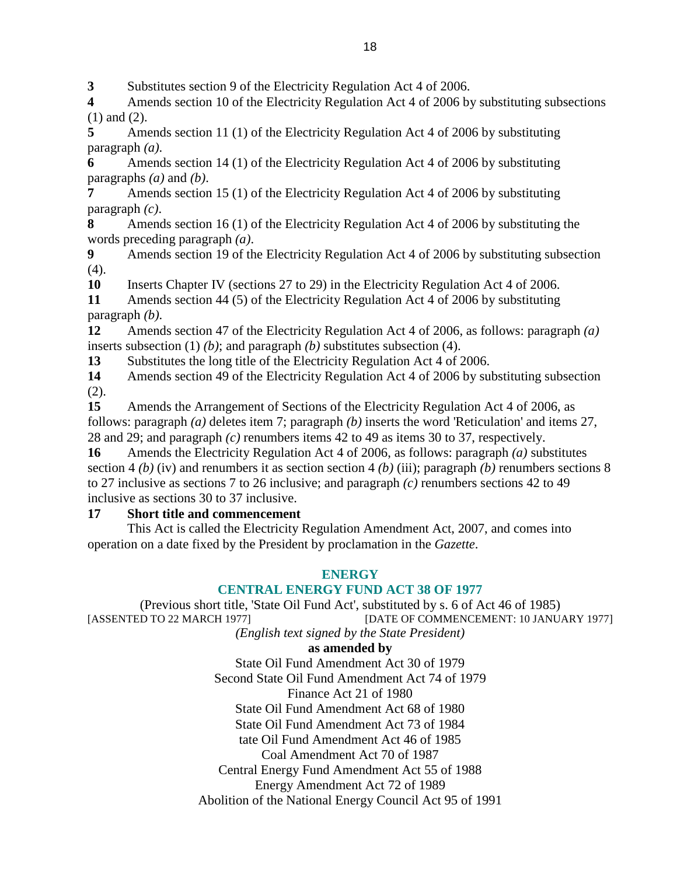**3** Substitutes section 9 of the Electricity Regulation Act 4 of 2006.

**4** Amends section 10 of the Electricity Regulation Act 4 of 2006 by substituting subsections (1) and (2).

**5** Amends section 11 (1) of the Electricity Regulation Act 4 of 2006 by substituting paragraph *(a)*.

**6** Amends section 14 (1) of the Electricity Regulation Act 4 of 2006 by substituting paragraphs *(a)* and *(b)*.

**7** Amends section 15 (1) of the Electricity Regulation Act 4 of 2006 by substituting paragraph *(c)*.

**8** Amends section 16 (1) of the Electricity Regulation Act 4 of 2006 by substituting the words preceding paragraph *(a)*.

**9** Amends section 19 of the Electricity Regulation Act 4 of 2006 by substituting subsection  $(4)$ .

**10** Inserts Chapter IV (sections 27 to 29) in the Electricity Regulation Act 4 of 2006.

**11** Amends section 44 (5) of the Electricity Regulation Act 4 of 2006 by substituting paragraph *(b)*.

**12** Amends section 47 of the Electricity Regulation Act 4 of 2006, as follows: paragraph *(a)* inserts subsection (1) *(b)*; and paragraph *(b)* substitutes subsection (4).

**13** Substitutes the long title of the Electricity Regulation Act 4 of 2006.

**14** Amends section 49 of the Electricity Regulation Act 4 of 2006 by substituting subsection (2).

**15** Amends the Arrangement of Sections of the Electricity Regulation Act 4 of 2006, as follows: paragraph *(a)* deletes item 7; paragraph *(b)* inserts the word 'Reticulation' and items 27, 28 and 29; and paragraph *(c)* renumbers items 42 to 49 as items 30 to 37, respectively.

**16** Amends the Electricity Regulation Act 4 of 2006, as follows: paragraph *(a)* substitutes section 4 *(b)* (iv) and renumbers it as section section 4 *(b)* (iii); paragraph *(b)* renumbers sections 8 to 27 inclusive as sections 7 to 26 inclusive; and paragraph *(c)* renumbers sections 42 to 49 inclusive as sections 30 to 37 inclusive.

# **17 Short title and commencement**

 This Act is called the Electricity Regulation Amendment Act, 2007, and comes into operation on a date fixed by the President by proclamation in the *Gazette*.

# **ENERGY**

# **CENTRAL ENERGY FUND ACT 38 OF 1977**

(Previous short title, 'State Oil Fund Act', substituted by s. 6 of Act 46 of 1985) [ASSENTED TO 22 MARCH 1977] [DATE OF COMMENCEMENT: 10 JANUARY 1977]

*(English text signed by the State President)* 

# **as amended by**

State Oil Fund Amendment Act 30 of 1979 Second State Oil Fund Amendment Act 74 of 1979 Finance Act 21 of 1980 State Oil Fund Amendment Act 68 of 1980 State Oil Fund Amendment Act 73 of 1984 tate Oil Fund Amendment Act 46 of 1985 Coal Amendment Act 70 of 1987 Central Energy Fund Amendment Act 55 of 1988 Energy Amendment Act 72 of 1989 Abolition of the National Energy Council Act 95 of 1991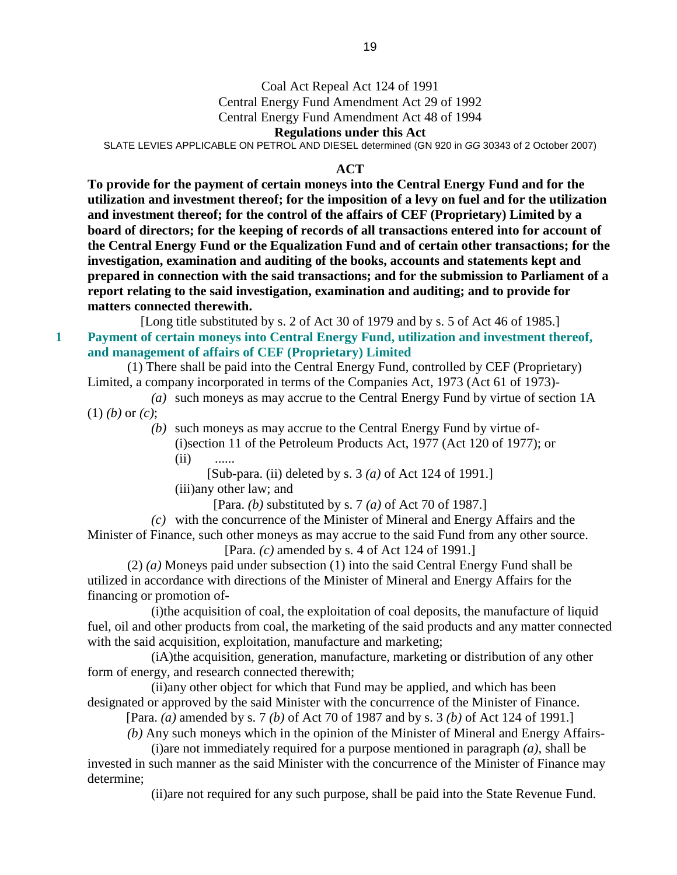## Coal Act Repeal Act 124 of 1991

Central Energy Fund Amendment Act 29 of 1992

Central Energy Fund Amendment Act 48 of 1994

#### **Regulations under this Act**

SLATE LEVIES APPLICABLE ON PETROL AND DIESEL determined (GN 920 in GG 30343 of 2 October 2007)

#### **ACT**

**To provide for the payment of certain moneys into the Central Energy Fund and for the utilization and investment thereof; for the imposition of a levy on fuel and for the utilization and investment thereof; for the control of the affairs of CEF (Proprietary) Limited by a board of directors; for the keeping of records of all transactions entered into for account of the Central Energy Fund or the Equalization Fund and of certain other transactions; for the investigation, examination and auditing of the books, accounts and statements kept and prepared in connection with the said transactions; and for the submission to Parliament of a report relating to the said investigation, examination and auditing; and to provide for matters connected therewith.** 

[Long title substituted by s. 2 of Act 30 of 1979 and by s. 5 of Act 46 of 1985.] **1 Payment of certain moneys into Central Energy Fund, utilization and investment thereof, and management of affairs of CEF (Proprietary) Limited** 

 (1) There shall be paid into the Central Energy Fund, controlled by CEF (Proprietary) Limited, a company incorporated in terms of the Companies Act, 1973 (Act 61 of 1973)-

 *(a)* such moneys as may accrue to the Central Energy Fund by virtue of section 1A (1) *(b)* or *(c)*;

> *(b)* such moneys as may accrue to the Central Energy Fund by virtue of- (i)section 11 of the Petroleum Products Act, 1977 (Act 120 of 1977); or  $(ii)$  ......

[Sub-para. (ii) deleted by s. 3 *(a)* of Act 124 of 1991.]

(iii)any other law; and

[Para. *(b)* substituted by s. 7 *(a)* of Act 70 of 1987.]

 *(c)* with the concurrence of the Minister of Mineral and Energy Affairs and the Minister of Finance, such other moneys as may accrue to the said Fund from any other source. [Para. *(c)* amended by s. 4 of Act 124 of 1991.]

 (2) *(a)* Moneys paid under subsection (1) into the said Central Energy Fund shall be utilized in accordance with directions of the Minister of Mineral and Energy Affairs for the financing or promotion of-

 (i)the acquisition of coal, the exploitation of coal deposits, the manufacture of liquid fuel, oil and other products from coal, the marketing of the said products and any matter connected with the said acquisition, exploitation, manufacture and marketing;

 (iA)the acquisition, generation, manufacture, marketing or distribution of any other form of energy, and research connected therewith;

 (ii)any other object for which that Fund may be applied, and which has been designated or approved by the said Minister with the concurrence of the Minister of Finance.

[Para. *(a)* amended by s. 7 *(b)* of Act 70 of 1987 and by s. 3 *(b)* of Act 124 of 1991.]

*(b)* Any such moneys which in the opinion of the Minister of Mineral and Energy Affairs-

 (i)are not immediately required for a purpose mentioned in paragraph *(a)*, shall be invested in such manner as the said Minister with the concurrence of the Minister of Finance may determine;

(ii)are not required for any such purpose, shall be paid into the State Revenue Fund.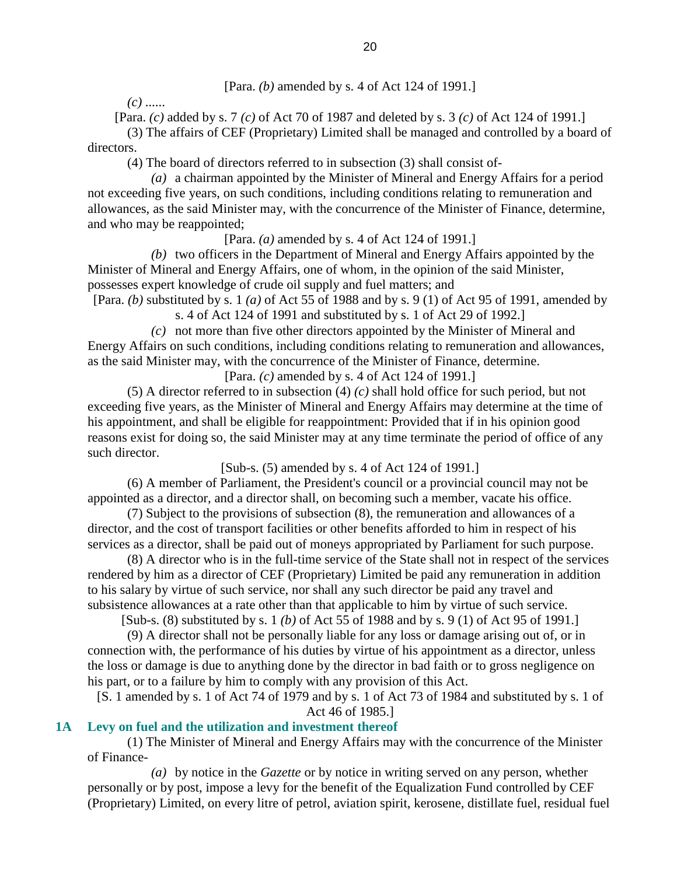*(c)* ......

[Para. *(c)* added by s. 7 *(c)* of Act 70 of 1987 and deleted by s. 3 *(c)* of Act 124 of 1991.]

 (3) The affairs of CEF (Proprietary) Limited shall be managed and controlled by a board of directors.

(4) The board of directors referred to in subsection (3) shall consist of-

 *(a)* a chairman appointed by the Minister of Mineral and Energy Affairs for a period not exceeding five years, on such conditions, including conditions relating to remuneration and allowances, as the said Minister may, with the concurrence of the Minister of Finance, determine, and who may be reappointed;

[Para. *(a)* amended by s. 4 of Act 124 of 1991.]

 *(b)* two officers in the Department of Mineral and Energy Affairs appointed by the Minister of Mineral and Energy Affairs, one of whom, in the opinion of the said Minister, possesses expert knowledge of crude oil supply and fuel matters; and

[Para. *(b)* substituted by s. 1 *(a)* of Act 55 of 1988 and by s. 9 (1) of Act 95 of 1991, amended by s. 4 of Act 124 of 1991 and substituted by s. 1 of Act 29 of 1992.]

 *(c)* not more than five other directors appointed by the Minister of Mineral and Energy Affairs on such conditions, including conditions relating to remuneration and allowances, as the said Minister may, with the concurrence of the Minister of Finance, determine. [Para. *(c)* amended by s. 4 of Act 124 of 1991.]

 (5) A director referred to in subsection (4) *(c)* shall hold office for such period, but not exceeding five years, as the Minister of Mineral and Energy Affairs may determine at the time of his appointment, and shall be eligible for reappointment: Provided that if in his opinion good reasons exist for doing so, the said Minister may at any time terminate the period of office of any such director.

[Sub-s. (5) amended by s. 4 of Act 124 of 1991.]

 (6) A member of Parliament, the President's council or a provincial council may not be appointed as a director, and a director shall, on becoming such a member, vacate his office.

 (7) Subject to the provisions of subsection (8), the remuneration and allowances of a director, and the cost of transport facilities or other benefits afforded to him in respect of his services as a director, shall be paid out of moneys appropriated by Parliament for such purpose.

 (8) A director who is in the full-time service of the State shall not in respect of the services rendered by him as a director of CEF (Proprietary) Limited be paid any remuneration in addition to his salary by virtue of such service, nor shall any such director be paid any travel and subsistence allowances at a rate other than that applicable to him by virtue of such service.

[Sub-s. (8) substituted by s. 1 *(b)* of Act 55 of 1988 and by s. 9 (1) of Act 95 of 1991.]

 (9) A director shall not be personally liable for any loss or damage arising out of, or in connection with, the performance of his duties by virtue of his appointment as a director, unless the loss or damage is due to anything done by the director in bad faith or to gross negligence on his part, or to a failure by him to comply with any provision of this Act.

[S. 1 amended by s. 1 of Act 74 of 1979 and by s. 1 of Act 73 of 1984 and substituted by s. 1 of Act 46 of 1985.]

## **1A Levy on fuel and the utilization and investment thereof**

 (1) The Minister of Mineral and Energy Affairs may with the concurrence of the Minister of Finance-

 *(a)* by notice in the *Gazette* or by notice in writing served on any person, whether personally or by post, impose a levy for the benefit of the Equalization Fund controlled by CEF (Proprietary) Limited, on every litre of petrol, aviation spirit, kerosene, distillate fuel, residual fuel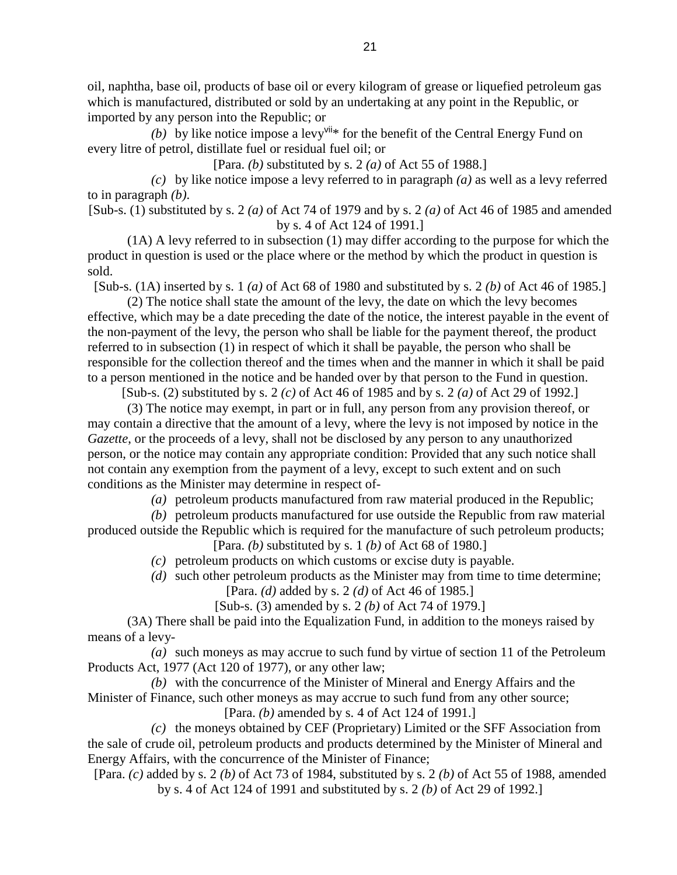oil, naphtha, base oil, products of base oil or every kilogram of grease or liquefied petroleum gas which is manufactured, distributed or sold by an undertaking at any point in the Republic, or imported by any person into the Republic; or

(b) by like notice impose a levy<sup>vii\*</sup> for the benefit of the Central Energy Fund on every litre of petrol, distillate fuel or residual fuel oil; or

[Para. *(b)* substituted by s. 2 *(a)* of Act 55 of 1988.]

 *(c)* by like notice impose a levy referred to in paragraph *(a)* as well as a levy referred to in paragraph *(b)*.

[Sub-s. (1) substituted by s. 2 *(a)* of Act 74 of 1979 and by s. 2 *(a)* of Act 46 of 1985 and amended by s. 4 of Act 124 of 1991.]

 (1A) A levy referred to in subsection (1) may differ according to the purpose for which the product in question is used or the place where or the method by which the product in question is sold.

[Sub-s. (1A) inserted by s. 1 *(a)* of Act 68 of 1980 and substituted by s. 2 *(b)* of Act 46 of 1985.]

 (2) The notice shall state the amount of the levy, the date on which the levy becomes effective, which may be a date preceding the date of the notice, the interest payable in the event of the non-payment of the levy, the person who shall be liable for the payment thereof, the product referred to in subsection (1) in respect of which it shall be payable, the person who shall be responsible for the collection thereof and the times when and the manner in which it shall be paid to a person mentioned in the notice and be handed over by that person to the Fund in question.

[Sub-s. (2) substituted by s. 2 *(c)* of Act 46 of 1985 and by s. 2 *(a)* of Act 29 of 1992.]

 (3) The notice may exempt, in part or in full, any person from any provision thereof, or may contain a directive that the amount of a levy, where the levy is not imposed by notice in the *Gazette*, or the proceeds of a levy, shall not be disclosed by any person to any unauthorized person, or the notice may contain any appropriate condition: Provided that any such notice shall not contain any exemption from the payment of a levy, except to such extent and on such conditions as the Minister may determine in respect of-

*(a)* petroleum products manufactured from raw material produced in the Republic;

 *(b)* petroleum products manufactured for use outside the Republic from raw material produced outside the Republic which is required for the manufacture of such petroleum products; [Para. *(b)* substituted by s. 1 *(b)* of Act 68 of 1980.]

*(c)* petroleum products on which customs or excise duty is payable.

*(d)* such other petroleum products as the Minister may from time to time determine;

[Para. *(d)* added by s. 2 *(d)* of Act 46 of 1985.]

[Sub-s. (3) amended by s. 2 *(b)* of Act 74 of 1979.]

 (3A) There shall be paid into the Equalization Fund, in addition to the moneys raised by means of a levy-

 *(a)* such moneys as may accrue to such fund by virtue of section 11 of the Petroleum Products Act, 1977 (Act 120 of 1977), or any other law;

 *(b)* with the concurrence of the Minister of Mineral and Energy Affairs and the Minister of Finance, such other moneys as may accrue to such fund from any other source;

[Para. *(b)* amended by s. 4 of Act 124 of 1991.]

 *(c)* the moneys obtained by CEF (Proprietary) Limited or the SFF Association from the sale of crude oil, petroleum products and products determined by the Minister of Mineral and Energy Affairs, with the concurrence of the Minister of Finance;

[Para. *(c)* added by s. 2 *(b)* of Act 73 of 1984, substituted by s. 2 *(b)* of Act 55 of 1988, amended by s. 4 of Act 124 of 1991 and substituted by s. 2 *(b)* of Act 29 of 1992.]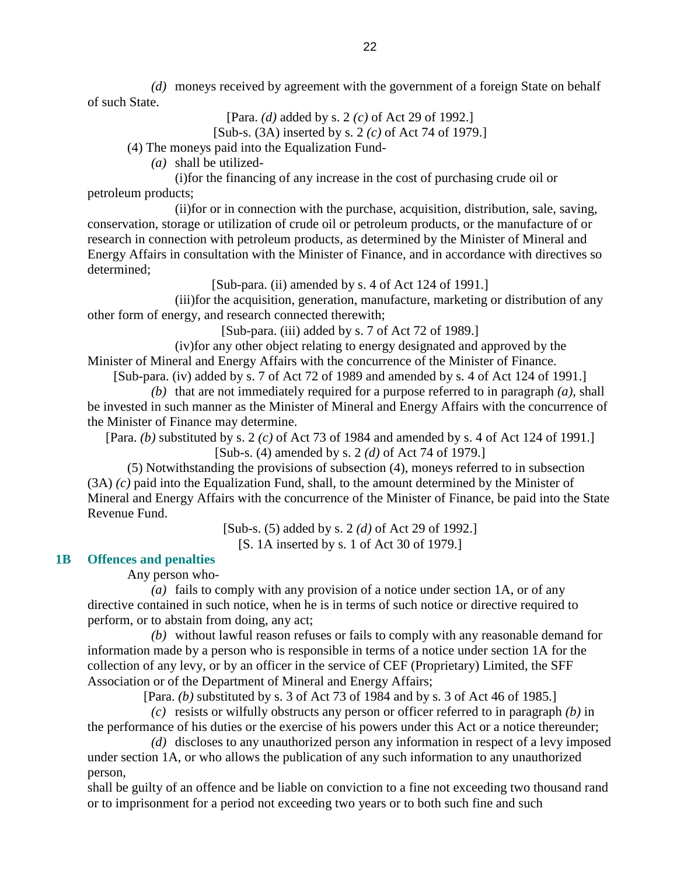*(d)* moneys received by agreement with the government of a foreign State on behalf of such State.

> [Para. *(d)* added by s. 2 *(c)* of Act 29 of 1992.] [Sub-s. (3A) inserted by s. 2 *(c)* of Act 74 of 1979.]

(4) The moneys paid into the Equalization Fund-

*(a)* shall be utilized-

 (i)for the financing of any increase in the cost of purchasing crude oil or petroleum products;

 (ii)for or in connection with the purchase, acquisition, distribution, sale, saving, conservation, storage or utilization of crude oil or petroleum products, or the manufacture of or research in connection with petroleum products, as determined by the Minister of Mineral and Energy Affairs in consultation with the Minister of Finance, and in accordance with directives so determined;

[Sub-para. (ii) amended by s. 4 of Act 124 of 1991.]

 (iii)for the acquisition, generation, manufacture, marketing or distribution of any other form of energy, and research connected therewith;

[Sub-para. (iii) added by s. 7 of Act 72 of 1989.]

 (iv)for any other object relating to energy designated and approved by the Minister of Mineral and Energy Affairs with the concurrence of the Minister of Finance.

[Sub-para. (iv) added by s. 7 of Act 72 of 1989 and amended by s. 4 of Act 124 of 1991.] *(b)* that are not immediately required for a purpose referred to in paragraph *(a)*, shall be invested in such manner as the Minister of Mineral and Energy Affairs with the concurrence of the Minister of Finance may determine.

[Para. *(b)* substituted by s. 2 *(c)* of Act 73 of 1984 and amended by s. 4 of Act 124 of 1991.] [Sub-s. (4) amended by s. 2 *(d)* of Act 74 of 1979.]

 (5) Notwithstanding the provisions of subsection (4), moneys referred to in subsection (3A) *(c)* paid into the Equalization Fund, shall, to the amount determined by the Minister of Mineral and Energy Affairs with the concurrence of the Minister of Finance, be paid into the State Revenue Fund.

> [Sub-s. (5) added by s. 2 *(d)* of Act 29 of 1992.] [S. 1A inserted by s. 1 of Act 30 of 1979.]

**1B Offences and penalties** 

Any person who-

 *(a)* fails to comply with any provision of a notice under section 1A, or of any directive contained in such notice, when he is in terms of such notice or directive required to perform, or to abstain from doing, any act;

 *(b)* without lawful reason refuses or fails to comply with any reasonable demand for information made by a person who is responsible in terms of a notice under section 1A for the collection of any levy, or by an officer in the service of CEF (Proprietary) Limited, the SFF Association or of the Department of Mineral and Energy Affairs;

[Para. *(b)* substituted by s. 3 of Act 73 of 1984 and by s. 3 of Act 46 of 1985.]

 *(c)* resists or wilfully obstructs any person or officer referred to in paragraph *(b)* in the performance of his duties or the exercise of his powers under this Act or a notice thereunder;

 *(d)* discloses to any unauthorized person any information in respect of a levy imposed under section 1A, or who allows the publication of any such information to any unauthorized person,

shall be guilty of an offence and be liable on conviction to a fine not exceeding two thousand rand or to imprisonment for a period not exceeding two years or to both such fine and such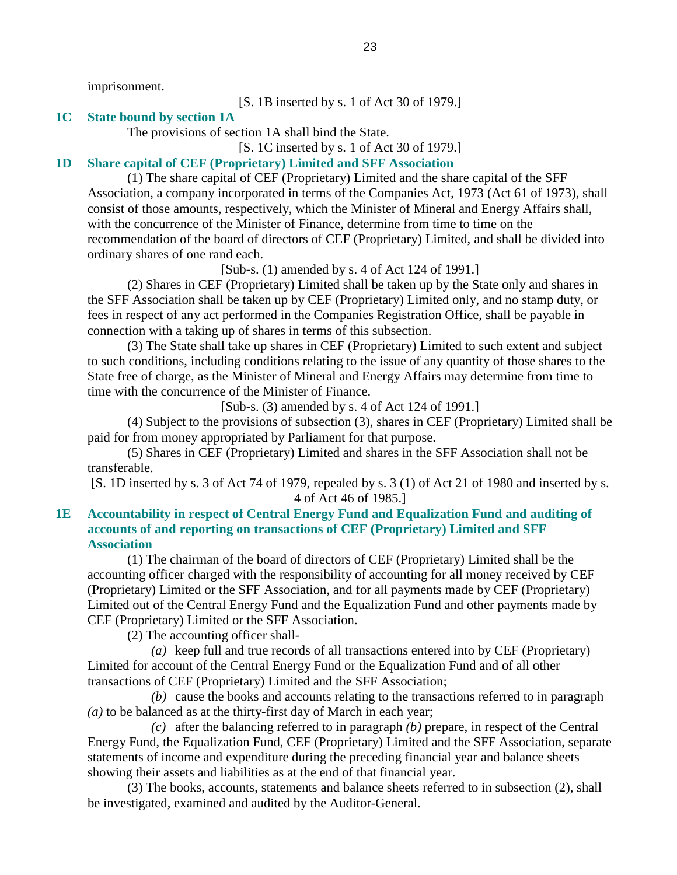imprisonment.

[S. 1B inserted by s. 1 of Act 30 of 1979.]

#### **1C State bound by section 1A**

The provisions of section 1A shall bind the State.

[S. 1C inserted by s. 1 of Act 30 of 1979.]

#### **1D Share capital of CEF (Proprietary) Limited and SFF Association**

 (1) The share capital of CEF (Proprietary) Limited and the share capital of the SFF Association, a company incorporated in terms of the Companies Act, 1973 (Act 61 of 1973), shall consist of those amounts, respectively, which the Minister of Mineral and Energy Affairs shall, with the concurrence of the Minister of Finance, determine from time to time on the recommendation of the board of directors of CEF (Proprietary) Limited, and shall be divided into ordinary shares of one rand each.

[Sub-s. (1) amended by s. 4 of Act 124 of 1991.]

 (2) Shares in CEF (Proprietary) Limited shall be taken up by the State only and shares in the SFF Association shall be taken up by CEF (Proprietary) Limited only, and no stamp duty, or fees in respect of any act performed in the Companies Registration Office, shall be payable in connection with a taking up of shares in terms of this subsection.

 (3) The State shall take up shares in CEF (Proprietary) Limited to such extent and subject to such conditions, including conditions relating to the issue of any quantity of those shares to the State free of charge, as the Minister of Mineral and Energy Affairs may determine from time to time with the concurrence of the Minister of Finance.

[Sub-s. (3) amended by s. 4 of Act 124 of 1991.]

 (4) Subject to the provisions of subsection (3), shares in CEF (Proprietary) Limited shall be paid for from money appropriated by Parliament for that purpose.

 (5) Shares in CEF (Proprietary) Limited and shares in the SFF Association shall not be transferable.

[S. 1D inserted by s. 3 of Act 74 of 1979, repealed by s. 3 (1) of Act 21 of 1980 and inserted by s. 4 of Act 46 of 1985.]

## **1E Accountability in respect of Central Energy Fund and Equalization Fund and auditing of accounts of and reporting on transactions of CEF (Proprietary) Limited and SFF Association**

 (1) The chairman of the board of directors of CEF (Proprietary) Limited shall be the accounting officer charged with the responsibility of accounting for all money received by CEF (Proprietary) Limited or the SFF Association, and for all payments made by CEF (Proprietary) Limited out of the Central Energy Fund and the Equalization Fund and other payments made by CEF (Proprietary) Limited or the SFF Association.

(2) The accounting officer shall-

 *(a)* keep full and true records of all transactions entered into by CEF (Proprietary) Limited for account of the Central Energy Fund or the Equalization Fund and of all other transactions of CEF (Proprietary) Limited and the SFF Association;

 *(b)* cause the books and accounts relating to the transactions referred to in paragraph *(a)* to be balanced as at the thirty-first day of March in each year;

 *(c)* after the balancing referred to in paragraph *(b)* prepare, in respect of the Central Energy Fund, the Equalization Fund, CEF (Proprietary) Limited and the SFF Association, separate statements of income and expenditure during the preceding financial year and balance sheets showing their assets and liabilities as at the end of that financial year.

 (3) The books, accounts, statements and balance sheets referred to in subsection (2), shall be investigated, examined and audited by the Auditor-General.